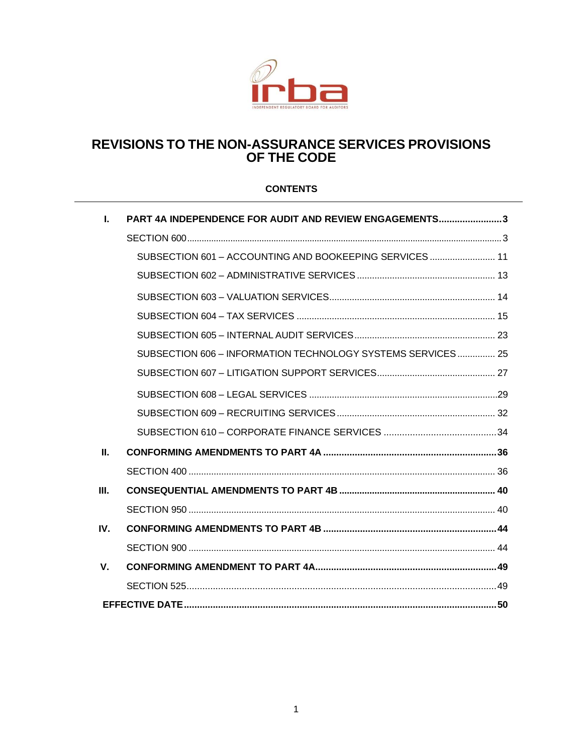

## **REVISIONS TO THE NON-ASSURANCE SERVICES PROVISIONS OF THE CODE**

## **CONTENTS**

| L           | PART 4A INDEPENDENCE FOR AUDIT AND REVIEW ENGAGEMENTS3      |
|-------------|-------------------------------------------------------------|
|             |                                                             |
|             | SUBSECTION 601 - ACCOUNTING AND BOOKEEPING SERVICES  11     |
|             |                                                             |
|             |                                                             |
|             |                                                             |
|             |                                                             |
|             | SUBSECTION 606 - INFORMATION TECHNOLOGY SYSTEMS SERVICES 25 |
|             |                                                             |
|             |                                                             |
|             |                                                             |
|             |                                                             |
| $\Pi$ .     |                                                             |
|             |                                                             |
| III.        |                                                             |
|             |                                                             |
| IV.         |                                                             |
|             |                                                             |
| $V_{\cdot}$ |                                                             |
|             |                                                             |
|             |                                                             |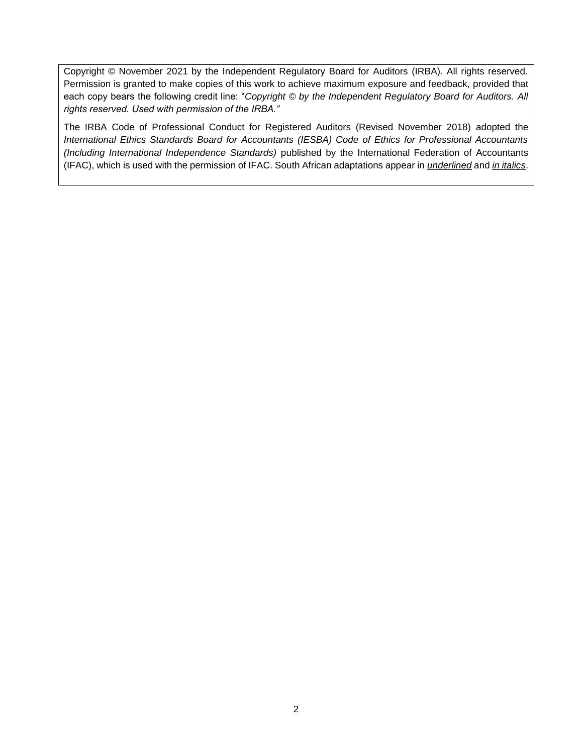Copyright © November 2021 by the Independent Regulatory Board for Auditors (IRBA). All rights reserved. Permission is granted to make copies of this work to achieve maximum exposure and feedback, provided that each copy bears the following credit line: "*Copyright © by the Independent Regulatory Board for Auditors. All rights reserved. Used with permission of the IRBA."* 

The IRBA Code of Professional Conduct for Registered Auditors (Revised November 2018) adopted the *International Ethics Standards Board for Accountants (IESBA) Code of Ethics for Professional Accountants (Including International Independence Standards)* published by the International Federation of Accountants (IFAC), which is used with the permission of IFAC. South African adaptations appear in *underlined* and *in italics*.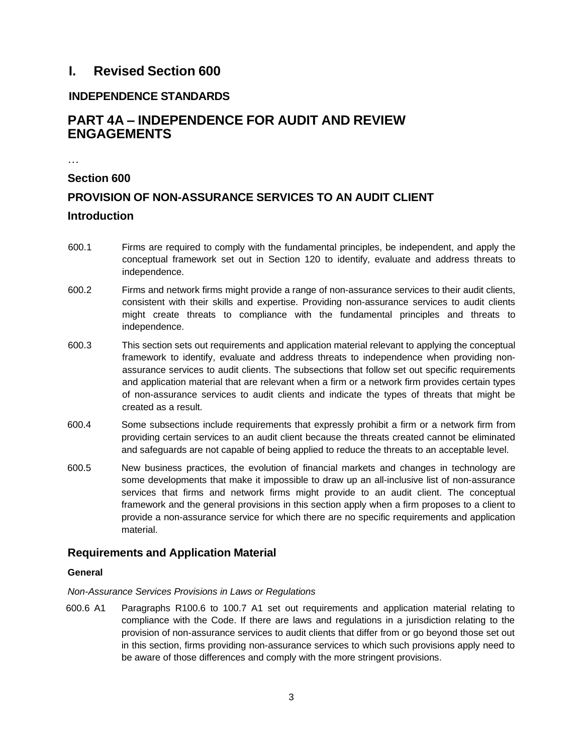## **I. Revised Section 600**

## **INDEPENDENCE STANDARDS**

## **PART 4A – INDEPENDENCE FOR AUDIT AND REVIEW ENGAGEMENTS**

…

# <span id="page-2-0"></span>**Section 600 PROVISION OF NON-ASSURANCE SERVICES TO AN AUDIT CLIENT Introduction**

- 600.1 Firms are required to comply with the fundamental principles, be independent, and apply the conceptual framework set out in Section 120 to identify, evaluate and address threats to independence.
- 600.2 Firms and network firms might provide a range of non-assurance services to their audit clients, consistent with their skills and expertise. Providing non-assurance services to audit clients might create threats to compliance with the fundamental principles and threats to independence.
- 600.3 This section sets out requirements and application material relevant to applying the conceptual framework to identify, evaluate and address threats to independence when providing nonassurance services to audit clients. The subsections that follow set out specific requirements and application material that are relevant when a firm or a network firm provides certain types of non-assurance services to audit clients and indicate the types of threats that might be created as a result.
- 600.4 Some subsections include requirements that expressly prohibit a firm or a network firm from providing certain services to an audit client because the threats created cannot be eliminated and safeguards are not capable of being applied to reduce the threats to an acceptable level.
- 600.5 New business practices, the evolution of financial markets and changes in technology are some developments that make it impossible to draw up an all-inclusive list of non-assurance services that firms and network firms might provide to an audit client. The conceptual framework and the general provisions in this section apply when a firm proposes to a client to provide a non-assurance service for which there are no specific requirements and application material.

## **Requirements and Application Material**

## **General**

## *Non-Assurance Services Provisions in Laws or Regulations*

600.6 A1 Paragraphs R100.6 to 100.7 A1 set out requirements and application material relating to compliance with the Code. If there are laws and regulations in a jurisdiction relating to the provision of non-assurance services to audit clients that differ from or go beyond those set out in this section, firms providing non-assurance services to which such provisions apply need to be aware of those differences and comply with the more stringent provisions.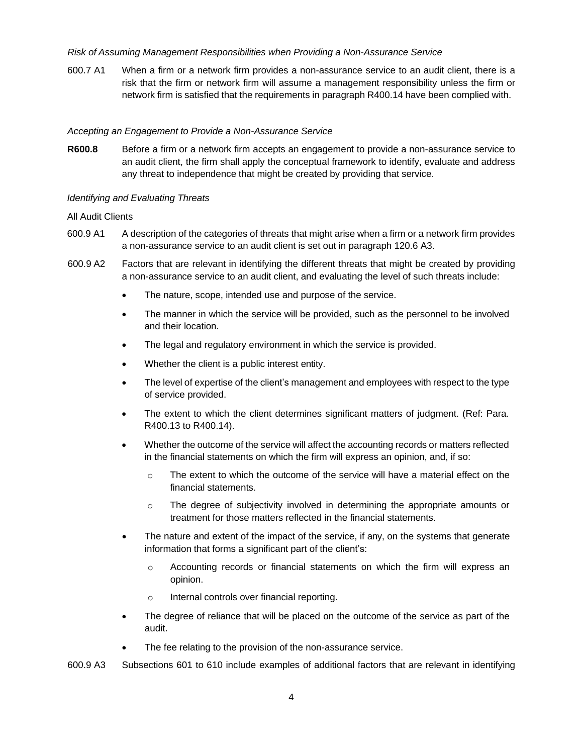### *Risk of Assuming Management Responsibilities when Providing a Non-Assurance Service*

600.7 A1 When a firm or a network firm provides a non-assurance service to an audit client, there is a risk that the firm or network firm will assume a management responsibility unless the firm or network firm is satisfied that the requirements in paragraph R400.14 have been complied with.

#### *Accepting an Engagement to Provide a Non-Assurance Service*

**R600.8** Before a firm or a network firm accepts an engagement to provide a non-assurance service to an audit client, the firm shall apply the conceptual framework to identify, evaluate and address any threat to independence that might be created by providing that service.

#### *Identifying and Evaluating Threats*

#### All Audit Clients

- 600.9 A1 A description of the categories of threats that might arise when a firm or a network firm provides a non-assurance service to an audit client is set out in paragraph 120.6 A3.
- 600.9 A2 Factors that are relevant in identifying the different threats that might be created by providing a non-assurance service to an audit client, and evaluating the level of such threats include:
	- The nature, scope, intended use and purpose of the service.
	- The manner in which the service will be provided, such as the personnel to be involved and their location.
	- The legal and regulatory environment in which the service is provided.
	- Whether the client is a public interest entity.
	- The level of expertise of the client's management and employees with respect to the type of service provided.
	- The extent to which the client determines significant matters of judgment. (Ref: Para. R400.13 to R400.14).
	- Whether the outcome of the service will affect the accounting records or matters reflected in the financial statements on which the firm will express an opinion, and, if so:
		- $\circ$  The extent to which the outcome of the service will have a material effect on the financial statements.
		- $\circ$  The degree of subjectivity involved in determining the appropriate amounts or treatment for those matters reflected in the financial statements.
	- The nature and extent of the impact of the service, if any, on the systems that generate information that forms a significant part of the client's:
		- o Accounting records or financial statements on which the firm will express an opinion.
		- o Internal controls over financial reporting.
	- The degree of reliance that will be placed on the outcome of the service as part of the audit.
	- The fee relating to the provision of the non-assurance service.
- 600.9 A3 Subsections 601 to 610 include examples of additional factors that are relevant in identifying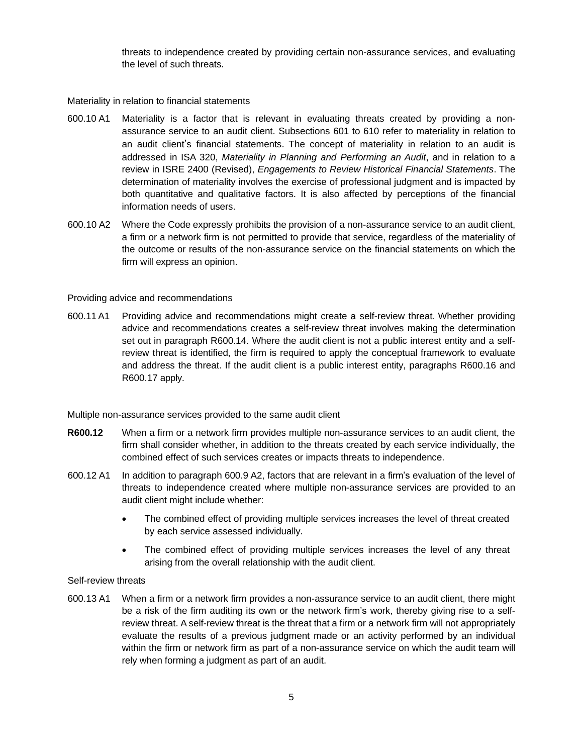threats to independence created by providing certain non-assurance services, and evaluating the level of such threats.

Materiality in relation to financial statements

- 600.10 A1 Materiality is a factor that is relevant in evaluating threats created by providing a nonassurance service to an audit client. Subsections 601 to 610 refer to materiality in relation to an audit client's financial statements. The concept of materiality in relation to an audit is addressed in ISA 320, *Materiality in Planning and Performing an Audit*, and in relation to a review in ISRE 2400 (Revised), *Engagements to Review Historical Financial Statements*. The determination of materiality involves the exercise of professional judgment and is impacted by both quantitative and qualitative factors. It is also affected by perceptions of the financial information needs of users.
- 600.10 A2 Where the Code expressly prohibits the provision of a non-assurance service to an audit client, a firm or a network firm is not permitted to provide that service, regardless of the materiality of the outcome or results of the non-assurance service on the financial statements on which the firm will express an opinion.

#### Providing advice and recommendations

600.11A1 Providing advice and recommendations might create a self-review threat. Whether providing advice and recommendations creates a self-review threat involves making the determination set out in paragraph R600.14. Where the audit client is not a public interest entity and a selfreview threat is identified, the firm is required to apply the conceptual framework to evaluate and address the threat. If the audit client is a public interest entity, paragraphs R600.16 and R600.17 apply.

Multiple non-assurance services provided to the same audit client

- **R600.12** When a firm or a network firm provides multiple non-assurance services to an audit client, the firm shall consider whether, in addition to the threats created by each service individually, the combined effect of such services creates or impacts threats to independence.
- 600.12 A1 In addition to paragraph 600.9 A2, factors that are relevant in a firm's evaluation of the level of threats to independence created where multiple non-assurance services are provided to an audit client might include whether:
	- The combined effect of providing multiple services increases the level of threat created by each service assessed individually.
	- The combined effect of providing multiple services increases the level of any threat arising from the overall relationship with the audit client.

#### Self-review threats

600.13 A1 When a firm or a network firm provides a non-assurance service to an audit client, there might be a risk of the firm auditing its own or the network firm's work, thereby giving rise to a selfreview threat. A self-review threat is the threat that a firm or a network firm will not appropriately evaluate the results of a previous judgment made or an activity performed by an individual within the firm or network firm as part of a non-assurance service on which the audit team will rely when forming a judgment as part of an audit.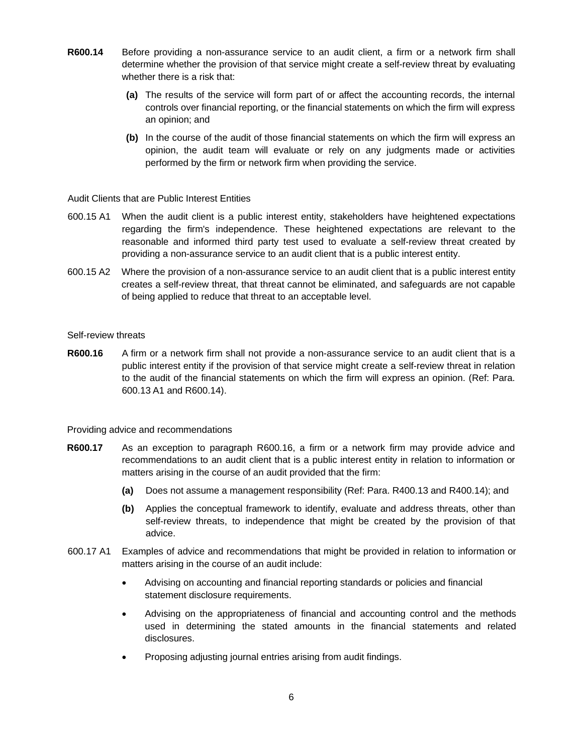- **R600.14** Before providing a non-assurance service to an audit client, a firm or a network firm shall determine whether the provision of that service might create a self-review threat by evaluating whether there is a risk that:
	- **(a)** The results of the service will form part of or affect the accounting records, the internal controls over financial reporting, or the financial statements on which the firm will express an opinion; and
	- **(b)** In the course of the audit of those financial statements on which the firm will express an opinion, the audit team will evaluate or rely on any judgments made or activities performed by the firm or network firm when providing the service.

Audit Clients that are Public Interest Entities

- 600.15 A1 When the audit client is a public interest entity, stakeholders have heightened expectations regarding the firm's independence. These heightened expectations are relevant to the reasonable and informed third party test used to evaluate a self-review threat created by providing a non-assurance service to an audit client that is a public interest entity.
- 600.15 A2 Where the provision of a non-assurance service to an audit client that is a public interest entity creates a self-review threat, that threat cannot be eliminated, and safeguards are not capable of being applied to reduce that threat to an acceptable level.

#### Self-review threats

**R600.16** A firm or a network firm shall not provide a non-assurance service to an audit client that is a public interest entity if the provision of that service might create a self-review threat in relation to the audit of the financial statements on which the firm will express an opinion. (Ref: Para. 600.13 A1 and R600.14).

Providing advice and recommendations

- **R600.17** As an exception to paragraph R600.16, a firm or a network firm may provide advice and recommendations to an audit client that is a public interest entity in relation to information or matters arising in the course of an audit provided that the firm:
	- **(a)** Does not assume a management responsibility (Ref: Para. R400.13 and R400.14); and
	- **(b)** Applies the conceptual framework to identify, evaluate and address threats, other than self-review threats, to independence that might be created by the provision of that advice.
- 600.17 A1 Examples of advice and recommendations that might be provided in relation to information or matters arising in the course of an audit include:
	- Advising on accounting and financial reporting standards or policies and financial statement disclosure requirements.
	- Advising on the appropriateness of financial and accounting control and the methods used in determining the stated amounts in the financial statements and related disclosures.
	- Proposing adjusting journal entries arising from audit findings.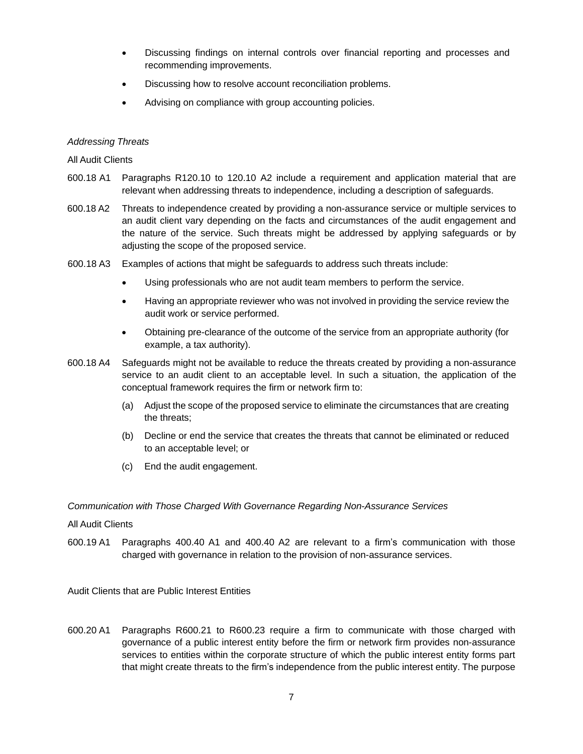- Discussing findings on internal controls over financial reporting and processes and recommending improvements.
- Discussing how to resolve account reconciliation problems.
- Advising on compliance with group accounting policies.

#### *Addressing Threats*

#### All Audit Clients

- 600.18 A1 Paragraphs R120.10 to 120.10 A2 include a requirement and application material that are relevant when addressing threats to independence, including a description of safeguards.
- 600.18 A2 Threats to independence created by providing a non-assurance service or multiple services to an audit client vary depending on the facts and circumstances of the audit engagement and the nature of the service. Such threats might be addressed by applying safeguards or by adjusting the scope of the proposed service.
- 600.18 A3 Examples of actions that might be safeguards to address such threats include:
	- Using professionals who are not audit team members to perform the service.
	- Having an appropriate reviewer who was not involved in providing the service review the audit work or service performed.
	- Obtaining pre-clearance of the outcome of the service from an appropriate authority (for example, a tax authority).
- 600.18 A4 Safeguards might not be available to reduce the threats created by providing a non-assurance service to an audit client to an acceptable level. In such a situation, the application of the conceptual framework requires the firm or network firm to:
	- (a) Adjust the scope of the proposed service to eliminate the circumstances that are creating the threats;
	- (b) Decline or end the service that creates the threats that cannot be eliminated or reduced to an acceptable level; or
	- (c) End the audit engagement.

#### *Communication with Those Charged With Governance Regarding Non-Assurance Services*

#### All Audit Clients

600.19 A1 Paragraphs 400.40 A1 and 400.40 A2 are relevant to a firm's communication with those charged with governance in relation to the provision of non-assurance services.

Audit Clients that are Public Interest Entities

600.20 A1 Paragraphs R600.21 to R600.23 require a firm to communicate with those charged with governance of a public interest entity before the firm or network firm provides non-assurance services to entities within the corporate structure of which the public interest entity forms part that might create threats to the firm's independence from the public interest entity. The purpose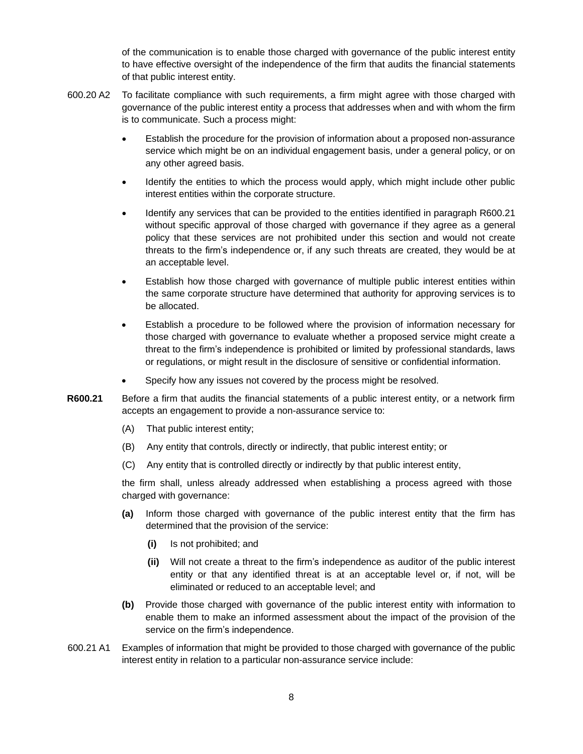of the communication is to enable those charged with governance of the public interest entity to have effective oversight of the independence of the firm that audits the financial statements of that public interest entity.

- 600.20 A2 To facilitate compliance with such requirements, a firm might agree with those charged with governance of the public interest entity a process that addresses when and with whom the firm is to communicate. Such a process might:
	- Establish the procedure for the provision of information about a proposed non-assurance service which might be on an individual engagement basis, under a general policy, or on any other agreed basis.
	- Identify the entities to which the process would apply, which might include other public interest entities within the corporate structure.
	- Identify any services that can be provided to the entities identified in paragraph R600.21 without specific approval of those charged with governance if they agree as a general policy that these services are not prohibited under this section and would not create threats to the firm's independence or, if any such threats are created, they would be at an acceptable level.
	- Establish how those charged with governance of multiple public interest entities within the same corporate structure have determined that authority for approving services is to be allocated.
	- Establish a procedure to be followed where the provision of information necessary for those charged with governance to evaluate whether a proposed service might create a threat to the firm's independence is prohibited or limited by professional standards, laws or regulations, or might result in the disclosure of sensitive or confidential information.
	- Specify how any issues not covered by the process might be resolved.
- **R600.21** Before a firm that audits the financial statements of a public interest entity, or a network firm accepts an engagement to provide a non-assurance service to:
	- (A) That public interest entity;
	- (B) Any entity that controls, directly or indirectly, that public interest entity; or
	- (C) Any entity that is controlled directly or indirectly by that public interest entity,

the firm shall, unless already addressed when establishing a process agreed with those charged with governance:

- **(a)** Inform those charged with governance of the public interest entity that the firm has determined that the provision of the service:
	- **(i)** Is not prohibited; and
	- **(ii)** Will not create a threat to the firm's independence as auditor of the public interest entity or that any identified threat is at an acceptable level or, if not, will be eliminated or reduced to an acceptable level; and
- **(b)** Provide those charged with governance of the public interest entity with information to enable them to make an informed assessment about the impact of the provision of the service on the firm's independence.
- 600.21 A1 Examples of information that might be provided to those charged with governance of the public interest entity in relation to a particular non-assurance service include: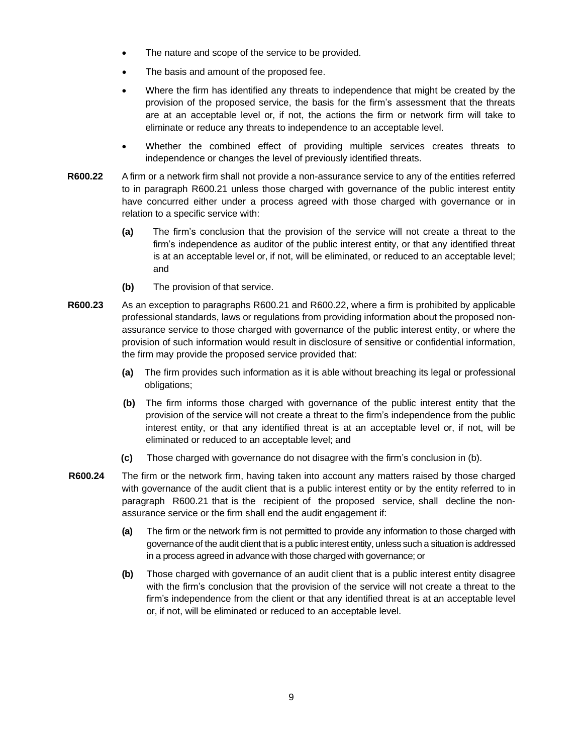- The nature and scope of the service to be provided.
- The basis and amount of the proposed fee.
- Where the firm has identified any threats to independence that might be created by the provision of the proposed service, the basis for the firm's assessment that the threats are at an acceptable level or, if not, the actions the firm or network firm will take to eliminate or reduce any threats to independence to an acceptable level.
- Whether the combined effect of providing multiple services creates threats to independence or changes the level of previously identified threats.
- **R600.22** A firm or a network firm shall not provide a non-assurance service to any of the entities referred to in paragraph R600.21 unless those charged with governance of the public interest entity have concurred either under a process agreed with those charged with governance or in relation to a specific service with:
	- **(a)** The firm's conclusion that the provision of the service will not create a threat to the firm's independence as auditor of the public interest entity, or that any identified threat is at an acceptable level or, if not, will be eliminated, or reduced to an acceptable level; and
	- **(b)** The provision of that service.
- **R600.23** As an exception to paragraphs R600.21 and R600.22, where a firm is prohibited by applicable professional standards, laws or regulations from providing information about the proposed nonassurance service to those charged with governance of the public interest entity, or where the provision of such information would result in disclosure of sensitive or confidential information, the firm may provide the proposed service provided that:
	- **(a)** The firm provides such information as it is able without breaching its legal or professional obligations;
	- **(b)** The firm informs those charged with governance of the public interest entity that the provision of the service will not create a threat to the firm's independence from the public interest entity, or that any identified threat is at an acceptable level or, if not, will be eliminated or reduced to an acceptable level; and
	- **(c)** Those charged with governance do not disagree with the firm's conclusion in (b).
- **R600.24** The firm or the network firm, having taken into account any matters raised by those charged with governance of the audit client that is a public interest entity or by the entity referred to in paragraph R600.21 that is the recipient of the proposed service, shall decline the nonassurance service or the firm shall end the audit engagement if:
	- **(a)** The firm or the network firm is not permitted to provide any information to those charged with governance of the audit client that is a public interest entity, unless such a situation is addressed in a process agreed in advance with those charged with governance; or
	- **(b)** Those charged with governance of an audit client that is a public interest entity disagree with the firm's conclusion that the provision of the service will not create a threat to the firm's independence from the client or that any identified threat is at an acceptable level or, if not, will be eliminated or reduced to an acceptable level.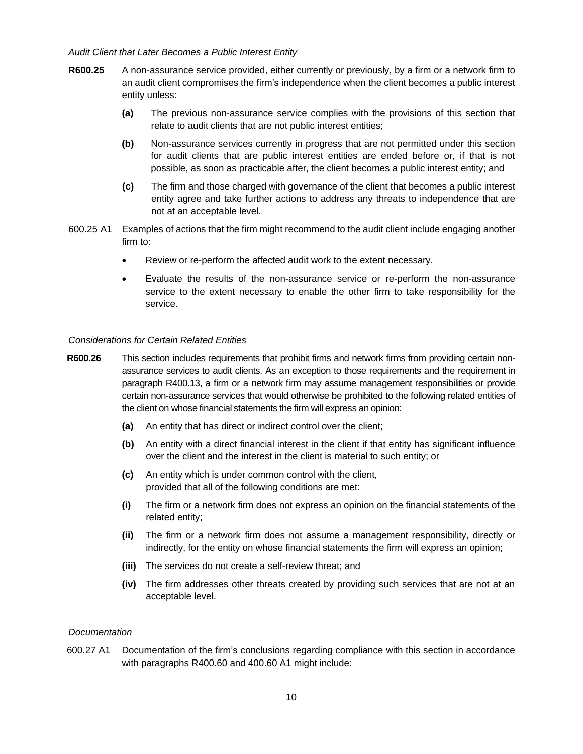#### *Audit Client that Later Becomes a Public Interest Entity*

- **R600.25** A non-assurance service provided, either currently or previously, by a firm or a network firm to an audit client compromises the firm's independence when the client becomes a public interest entity unless:
	- **(a)** The previous non-assurance service complies with the provisions of this section that relate to audit clients that are not public interest entities;
	- **(b)** Non-assurance services currently in progress that are not permitted under this section for audit clients that are public interest entities are ended before or, if that is not possible, as soon as practicable after, the client becomes a public interest entity; and
	- **(c)** The firm and those charged with governance of the client that becomes a public interest entity agree and take further actions to address any threats to independence that are not at an acceptable level.
- 600.25 A1 Examples of actions that the firm might recommend to the audit client include engaging another firm to:
	- Review or re-perform the affected audit work to the extent necessary.
	- Evaluate the results of the non-assurance service or re-perform the non-assurance service to the extent necessary to enable the other firm to take responsibility for the service.

#### *Considerations for Certain Related Entities*

- **R600.26** This section includes requirements that prohibit firms and network firms from providing certain nonassurance services to audit clients. As an exception to those requirements and the requirement in paragraph R400.13, a firm or a network firm may assume management responsibilities or provide certain non-assurance services that would otherwise be prohibited to the following related entities of the client on whose financial statements the firm will express an opinion:
	- **(a)** An entity that has direct or indirect control over the client;
	- **(b)** An entity with a direct financial interest in the client if that entity has significant influence over the client and the interest in the client is material to such entity; or
	- **(c)** An entity which is under common control with the client, provided that all of the following conditions are met:
	- **(i)** The firm or a network firm does not express an opinion on the financial statements of the related entity;
	- **(ii)** The firm or a network firm does not assume a management responsibility, directly or indirectly, for the entity on whose financial statements the firm will express an opinion;
	- **(iii)** The services do not create a self-review threat; and
	- **(iv)** The firm addresses other threats created by providing such services that are not at an acceptable level.

#### *Documentation*

600.27 A1 Documentation of the firm's conclusions regarding compliance with this section in accordance with paragraphs R400.60 and 400.60 A1 might include: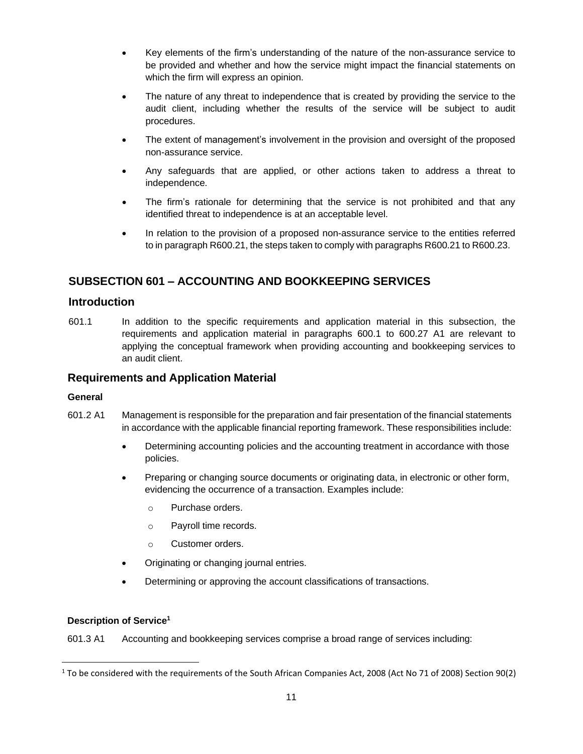- Key elements of the firm's understanding of the nature of the non-assurance service to be provided and whether and how the service might impact the financial statements on which the firm will express an opinion.
- The nature of any threat to independence that is created by providing the service to the audit client, including whether the results of the service will be subject to audit procedures.
- The extent of management's involvement in the provision and oversight of the proposed non-assurance service.
- Any safeguards that are applied, or other actions taken to address a threat to independence.
- The firm's rationale for determining that the service is not prohibited and that any identified threat to independence is at an acceptable level.
- In relation to the provision of a proposed non-assurance service to the entities referred to in paragraph R600.21, the steps taken to comply with paragraphs R600.21 to R600.23.

## **SUBSECTION 601 – ACCOUNTING AND BOOKKEEPING SERVICES**

## **Introduction**

601.1 In addition to the specific requirements and application material in this subsection, the requirements and application material in paragraphs 600.1 to 600.27 A1 are relevant to applying the conceptual framework when providing accounting and bookkeeping services to an audit client.

## **Requirements and Application Material**

#### **General**

- 601.2 A1 Management is responsible for the preparation and fair presentation of the financial statements in accordance with the applicable financial reporting framework. These responsibilities include:
	- Determining accounting policies and the accounting treatment in accordance with those policies.
	- Preparing or changing source documents or originating data, in electronic or other form, evidencing the occurrence of a transaction. Examples include:
		- o Purchase orders.
		- o Payroll time records.
		- o Customer orders.
	- Originating or changing journal entries.
	- Determining or approving the account classifications of transactions.

#### **Description of Service<sup>1</sup>**

601.3 A1 Accounting and bookkeeping services comprise a broad range of services including:

 $1$  To be considered with the requirements of the South African Companies Act, 2008 (Act No 71 of 2008) Section 90(2)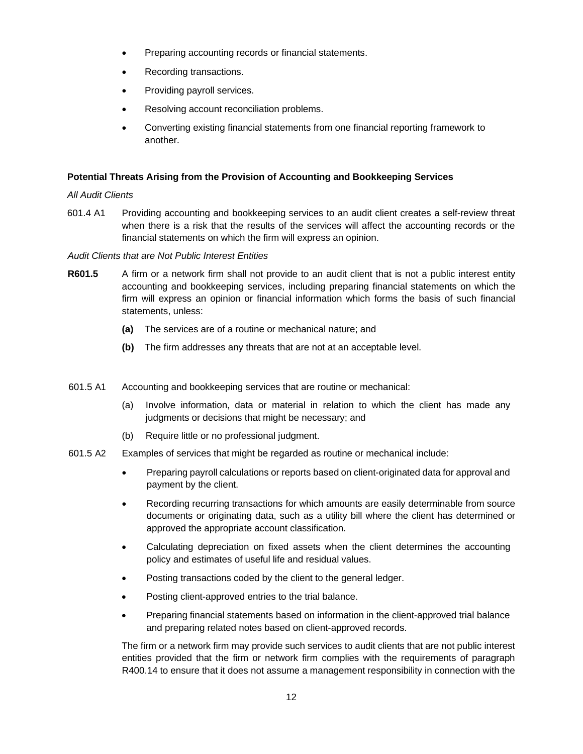- Preparing accounting records or financial statements.
- Recording transactions.
- Providing payroll services.
- Resolving account reconciliation problems.
- Converting existing financial statements from one financial reporting framework to another.

#### **Potential Threats Arising from the Provision of Accounting and Bookkeeping Services**

#### *All Audit Clients*

601.4 A1 Providing accounting and bookkeeping services to an audit client creates a self-review threat when there is a risk that the results of the services will affect the accounting records or the financial statements on which the firm will express an opinion.

#### *Audit Clients that are Not Public Interest Entities*

- **R601.5** A firm or a network firm shall not provide to an audit client that is not a public interest entity accounting and bookkeeping services, including preparing financial statements on which the firm will express an opinion or financial information which forms the basis of such financial statements, unless:
	- **(a)** The services are of a routine or mechanical nature; and
	- **(b)** The firm addresses any threats that are not at an acceptable level.
- 601.5 A1 Accounting and bookkeeping services that are routine or mechanical:
	- (a) Involve information, data or material in relation to which the client has made any judgments or decisions that might be necessary; and
	- (b) Require little or no professional judgment.
- 601.5 A2 Examples of services that might be regarded as routine or mechanical include:
	- Preparing payroll calculations or reports based on client-originated data for approval and payment by the client.
	- Recording recurring transactions for which amounts are easily determinable from source documents or originating data, such as a utility bill where the client has determined or approved the appropriate account classification.
	- Calculating depreciation on fixed assets when the client determines the accounting policy and estimates of useful life and residual values.
	- Posting transactions coded by the client to the general ledger.
	- Posting client-approved entries to the trial balance.
	- Preparing financial statements based on information in the client-approved trial balance and preparing related notes based on client-approved records.

The firm or a network firm may provide such services to audit clients that are not public interest entities provided that the firm or network firm complies with the requirements of paragraph R400.14 to ensure that it does not assume a management responsibility in connection with the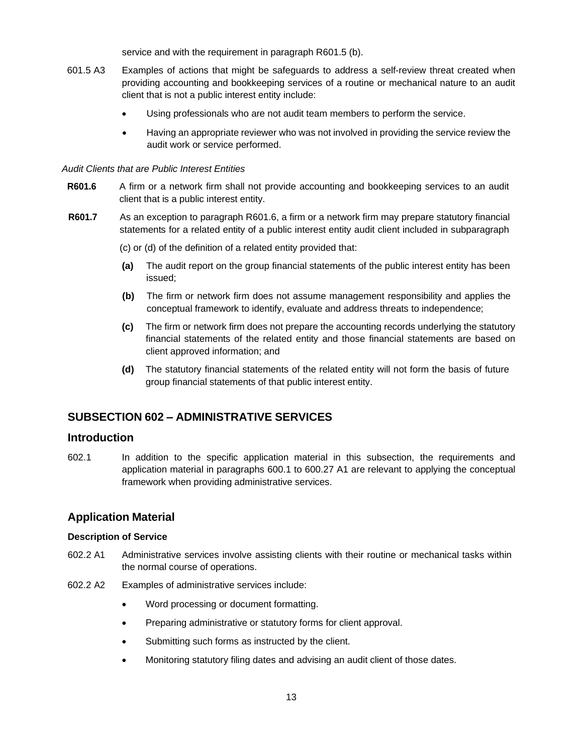service and with the requirement in paragraph R601.5 (b).

- 601.5 A3 Examples of actions that might be safeguards to address a self-review threat created when providing accounting and bookkeeping services of a routine or mechanical nature to an audit client that is not a public interest entity include:
	- Using professionals who are not audit team members to perform the service.
	- Having an appropriate reviewer who was not involved in providing the service review the audit work or service performed.

#### *Audit Clients that are Public Interest Entities*

- **R601.6** A firm or a network firm shall not provide accounting and bookkeeping services to an audit client that is a public interest entity.
- **R601.7** As an exception to paragraph R601.6, a firm or a network firm may prepare statutory financial statements for a related entity of a public interest entity audit client included in subparagraph
	- (c) or (d) of the definition of a related entity provided that:
	- **(a)** The audit report on the group financial statements of the public interest entity has been issued;
	- **(b)** The firm or network firm does not assume management responsibility and applies the conceptual framework to identify, evaluate and address threats to independence;
	- **(c)** The firm or network firm does not prepare the accounting records underlying the statutory financial statements of the related entity and those financial statements are based on client approved information; and
	- **(d)** The statutory financial statements of the related entity will not form the basis of future group financial statements of that public interest entity.

## <span id="page-12-0"></span>**SUBSECTION 602 – ADMINISTRATIVE SERVICES**

#### **Introduction**

602.1 In addition to the specific application material in this subsection, the requirements and application material in paragraphs 600.1 to 600.27 A1 are relevant to applying the conceptual framework when providing administrative services.

## **Application Material**

#### **Description of Service**

- 602.2 A1 Administrative services involve assisting clients with their routine or mechanical tasks within the normal course of operations.
- 602.2 A2 Examples of administrative services include:
	- Word processing or document formatting.
	- Preparing administrative or statutory forms for client approval.
	- Submitting such forms as instructed by the client.
	- Monitoring statutory filing dates and advising an audit client of those dates.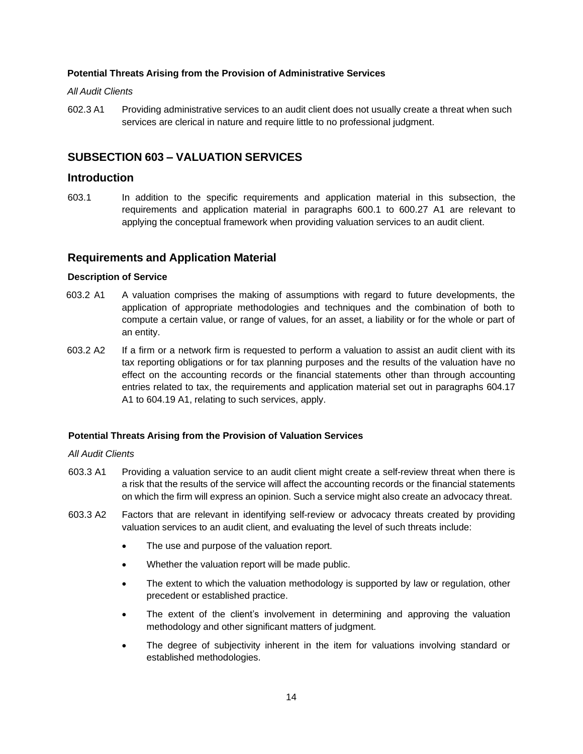#### **Potential Threats Arising from the Provision of Administrative Services**

#### *All Audit Clients*

602.3 A1 Providing administrative services to an audit client does not usually create a threat when such services are clerical in nature and require little to no professional judgment.

## <span id="page-13-0"></span>**SUBSECTION 603 – VALUATION SERVICES**

#### **Introduction**

603.1 In addition to the specific requirements and application material in this subsection, the requirements and application material in paragraphs 600.1 to 600.27 A1 are relevant to applying the conceptual framework when providing valuation services to an audit client.

#### **Requirements and Application Material**

#### **Description of Service**

- 603.2 A1 A valuation comprises the making of assumptions with regard to future developments, the application of appropriate methodologies and techniques and the combination of both to compute a certain value, or range of values, for an asset, a liability or for the whole or part of an entity.
- 603.2 A2 If a firm or a network firm is requested to perform a valuation to assist an audit client with its tax reporting obligations or for tax planning purposes and the results of the valuation have no effect on the accounting records or the financial statements other than through accounting entries related to tax, the requirements and application material set out in paragraphs 604.17 A1 to 604.19 A1, relating to such services, apply.

#### **Potential Threats Arising from the Provision of Valuation Services**

## *All Audit Clients*

- 603.3 A1 Providing a valuation service to an audit client might create a self-review threat when there is a risk that the results of the service will affect the accounting records or the financial statements on which the firm will express an opinion. Such a service might also create an advocacy threat.
- 603.3 A2 Factors that are relevant in identifying self-review or advocacy threats created by providing valuation services to an audit client, and evaluating the level of such threats include:
	- The use and purpose of the valuation report.
	- Whether the valuation report will be made public.
	- The extent to which the valuation methodology is supported by law or regulation, other precedent or established practice.
	- The extent of the client's involvement in determining and approving the valuation methodology and other significant matters of judgment.
	- The degree of subjectivity inherent in the item for valuations involving standard or established methodologies.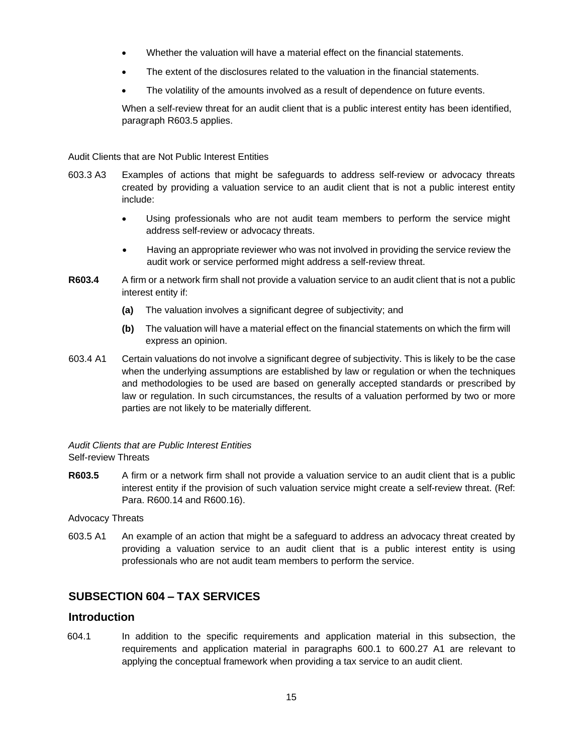- Whether the valuation will have a material effect on the financial statements.
- The extent of the disclosures related to the valuation in the financial statements.
- The volatility of the amounts involved as a result of dependence on future events.

When a self-review threat for an audit client that is a public interest entity has been identified, paragraph R603.5 applies.

#### Audit Clients that are Not Public Interest Entities

- 603.3 A3 Examples of actions that might be safeguards to address self-review or advocacy threats created by providing a valuation service to an audit client that is not a public interest entity include:
	- Using professionals who are not audit team members to perform the service might address self-review or advocacy threats.
	- Having an appropriate reviewer who was not involved in providing the service review the audit work or service performed might address a self-review threat.
- **R603.4** A firm or a network firm shall not provide a valuation service to an audit client that is not a public interest entity if:
	- **(a)** The valuation involves a significant degree of subjectivity; and
	- **(b)** The valuation will have a material effect on the financial statements on which the firm will express an opinion.
- 603.4 A1 Certain valuations do not involve a significant degree of subjectivity. This is likely to be the case when the underlying assumptions are established by law or regulation or when the techniques and methodologies to be used are based on generally accepted standards or prescribed by law or regulation. In such circumstances, the results of a valuation performed by two or more parties are not likely to be materially different.

#### *Audit Clients that are Public Interest Entities* Self-review Threats

**R603.5** A firm or a network firm shall not provide a valuation service to an audit client that is a public interest entity if the provision of such valuation service might create a self-review threat. (Ref: Para. R600.14 and R600.16).

Advocacy Threats

603.5 A1 An example of an action that might be a safeguard to address an advocacy threat created by providing a valuation service to an audit client that is a public interest entity is using professionals who are not audit team members to perform the service.

## <span id="page-14-0"></span>**SUBSECTION 604 – TAX SERVICES**

## **Introduction**

604.1 In addition to the specific requirements and application material in this subsection, the requirements and application material in paragraphs 600.1 to 600.27 A1 are relevant to applying the conceptual framework when providing a tax service to an audit client.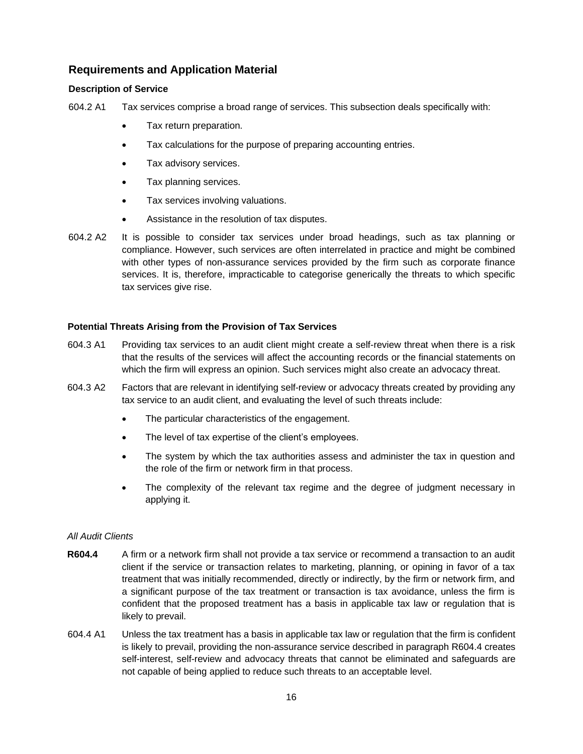## **Requirements and Application Material**

#### **Description of Service**

604.2 A1 Tax services comprise a broad range of services. This subsection deals specifically with:

- Tax return preparation.
- Tax calculations for the purpose of preparing accounting entries.
- Tax advisory services.
- Tax planning services.
- Tax services involving valuations.
- Assistance in the resolution of tax disputes.
- 604.2 A2 It is possible to consider tax services under broad headings, such as tax planning or compliance. However, such services are often interrelated in practice and might be combined with other types of non-assurance services provided by the firm such as corporate finance services. It is, therefore, impracticable to categorise generically the threats to which specific tax services give rise.

#### **Potential Threats Arising from the Provision of Tax Services**

- 604.3 A1 Providing tax services to an audit client might create a self-review threat when there is a risk that the results of the services will affect the accounting records or the financial statements on which the firm will express an opinion. Such services might also create an advocacy threat.
- 604.3 A2 Factors that are relevant in identifying self-review or advocacy threats created by providing any tax service to an audit client, and evaluating the level of such threats include:
	- The particular characteristics of the engagement.
	- The level of tax expertise of the client's employees.
	- The system by which the tax authorities assess and administer the tax in question and the role of the firm or network firm in that process.
	- The complexity of the relevant tax regime and the degree of judgment necessary in applying it.

#### *All Audit Clients*

- **R604.4** A firm or a network firm shall not provide a tax service or recommend a transaction to an audit client if the service or transaction relates to marketing, planning, or opining in favor of a tax treatment that was initially recommended, directly or indirectly, by the firm or network firm, and a significant purpose of the tax treatment or transaction is tax avoidance, unless the firm is confident that the proposed treatment has a basis in applicable tax law or regulation that is likely to prevail.
- 604.4 A1 Unless the tax treatment has a basis in applicable tax law or regulation that the firm is confident is likely to prevail, providing the non-assurance service described in paragraph R604.4 creates self-interest, self-review and advocacy threats that cannot be eliminated and safeguards are not capable of being applied to reduce such threats to an acceptable level.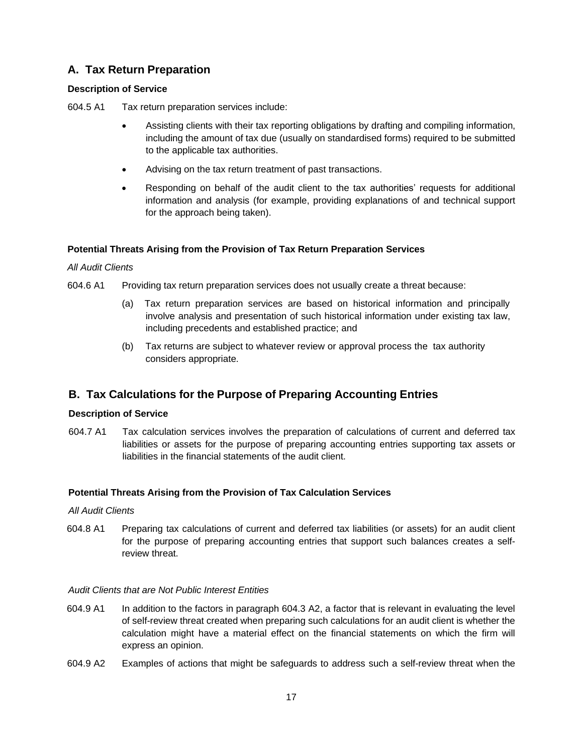## **A. Tax Return Preparation**

## **Description of Service**

604.5 A1 Tax return preparation services include:

- Assisting clients with their tax reporting obligations by drafting and compiling information, including the amount of tax due (usually on standardised forms) required to be submitted to the applicable tax authorities.
- Advising on the tax return treatment of past transactions.
- Responding on behalf of the audit client to the tax authorities' requests for additional information and analysis (for example, providing explanations of and technical support for the approach being taken).

#### **Potential Threats Arising from the Provision of Tax Return Preparation Services**

#### *All Audit Clients*

- 604.6 A1 Providing tax return preparation services does not usually create a threat because:
	- (a) Tax return preparation services are based on historical information and principally involve analysis and presentation of such historical information under existing tax law, including precedents and established practice; and
	- (b) Tax returns are subject to whatever review or approval process the tax authority considers appropriate.

## **B. Tax Calculations for the Purpose of Preparing Accounting Entries**

### **Description of Service**

604.7 A1 Tax calculation services involves the preparation of calculations of current and deferred tax liabilities or assets for the purpose of preparing accounting entries supporting tax assets or liabilities in the financial statements of the audit client.

## **Potential Threats Arising from the Provision of Tax Calculation Services**

#### *All Audit Clients*

604.8 A1 Preparing tax calculations of current and deferred tax liabilities (or assets) for an audit client for the purpose of preparing accounting entries that support such balances creates a selfreview threat.

#### *Audit Clients that are Not Public Interest Entities*

- 604.9 A1 In addition to the factors in paragraph 604.3 A2, a factor that is relevant in evaluating the level of self-review threat created when preparing such calculations for an audit client is whether the calculation might have a material effect on the financial statements on which the firm will express an opinion.
- 604.9 A2 Examples of actions that might be safeguards to address such a self-review threat when the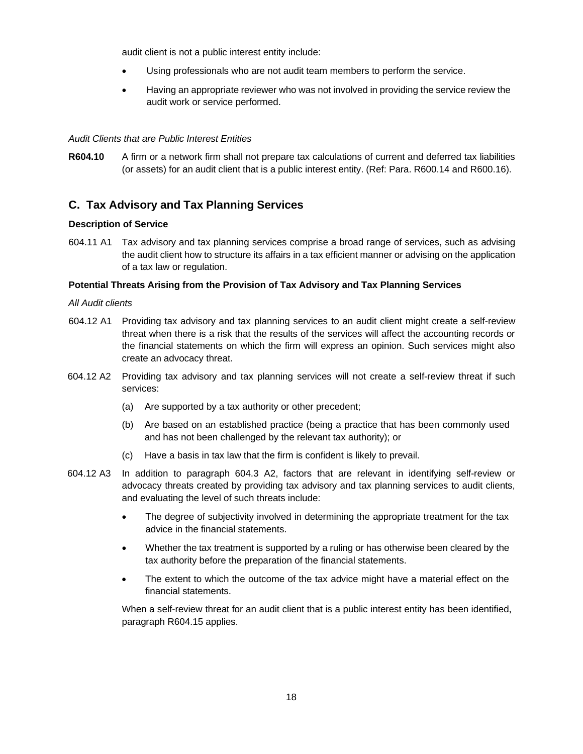audit client is not a public interest entity include:

- Using professionals who are not audit team members to perform the service.
- Having an appropriate reviewer who was not involved in providing the service review the audit work or service performed.

## *Audit Clients that are Public Interest Entities*

**R604.10** A firm or a network firm shall not prepare tax calculations of current and deferred tax liabilities (or assets) for an audit client that is a public interest entity. (Ref: Para. R600.14 and R600.16).

## **C. Tax Advisory and Tax Planning Services**

#### **Description of Service**

604.11 A1 Tax advisory and tax planning services comprise a broad range of services, such as advising the audit client how to structure its affairs in a tax efficient manner or advising on the application of a tax law or regulation.

#### **Potential Threats Arising from the Provision of Tax Advisory and Tax Planning Services**

#### *All Audit clients*

- 604.12 A1 Providing tax advisory and tax planning services to an audit client might create a self-review threat when there is a risk that the results of the services will affect the accounting records or the financial statements on which the firm will express an opinion. Such services might also create an advocacy threat.
- 604.12 A2 Providing tax advisory and tax planning services will not create a self-review threat if such services:
	- (a) Are supported by a tax authority or other precedent;
	- (b) Are based on an established practice (being a practice that has been commonly used and has not been challenged by the relevant tax authority); or
	- (c) Have a basis in tax law that the firm is confident is likely to prevail.
- 604.12 A3 In addition to paragraph 604.3 A2, factors that are relevant in identifying self-review or advocacy threats created by providing tax advisory and tax planning services to audit clients, and evaluating the level of such threats include:
	- The degree of subjectivity involved in determining the appropriate treatment for the tax advice in the financial statements.
	- Whether the tax treatment is supported by a ruling or has otherwise been cleared by the tax authority before the preparation of the financial statements.
	- The extent to which the outcome of the tax advice might have a material effect on the financial statements.

When a self-review threat for an audit client that is a public interest entity has been identified, paragraph R604.15 applies.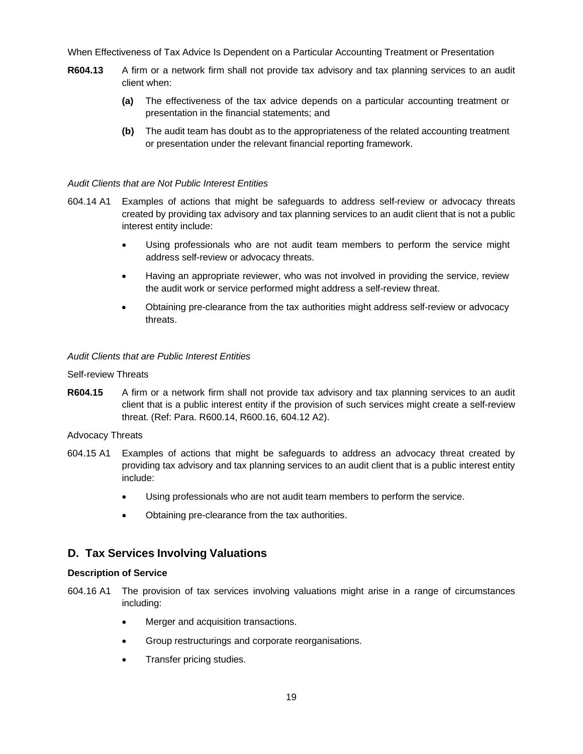When Effectiveness of Tax Advice Is Dependent on a Particular Accounting Treatment or Presentation

- **R604.13** A firm or a network firm shall not provide tax advisory and tax planning services to an audit client when:
	- **(a)** The effectiveness of the tax advice depends on a particular accounting treatment or presentation in the financial statements; and
	- **(b)** The audit team has doubt as to the appropriateness of the related accounting treatment or presentation under the relevant financial reporting framework.

#### *Audit Clients that are Not Public Interest Entities*

- 604.14 A1 Examples of actions that might be safeguards to address self-review or advocacy threats created by providing tax advisory and tax planning services to an audit client that is not a public interest entity include:
	- Using professionals who are not audit team members to perform the service might address self-review or advocacy threats.
	- Having an appropriate reviewer, who was not involved in providing the service, review the audit work or service performed might address a self-review threat.
	- Obtaining pre-clearance from the tax authorities might address self-review or advocacy threats.

#### *Audit Clients that are Public Interest Entities*

#### Self-review Threats

**R604.15** A firm or a network firm shall not provide tax advisory and tax planning services to an audit client that is a public interest entity if the provision of such services might create a self-review threat. (Ref: Para. R600.14, R600.16, 604.12 A2).

#### Advocacy Threats

- 604.15 A1 Examples of actions that might be safeguards to address an advocacy threat created by providing tax advisory and tax planning services to an audit client that is a public interest entity include:
	- Using professionals who are not audit team members to perform the service.
	- Obtaining pre-clearance from the tax authorities.

## **D. Tax Services Involving Valuations**

#### **Description of Service**

- 604.16 A1 The provision of tax services involving valuations might arise in a range of circumstances including:
	- Merger and acquisition transactions.
	- Group restructurings and corporate reorganisations.
	- Transfer pricing studies.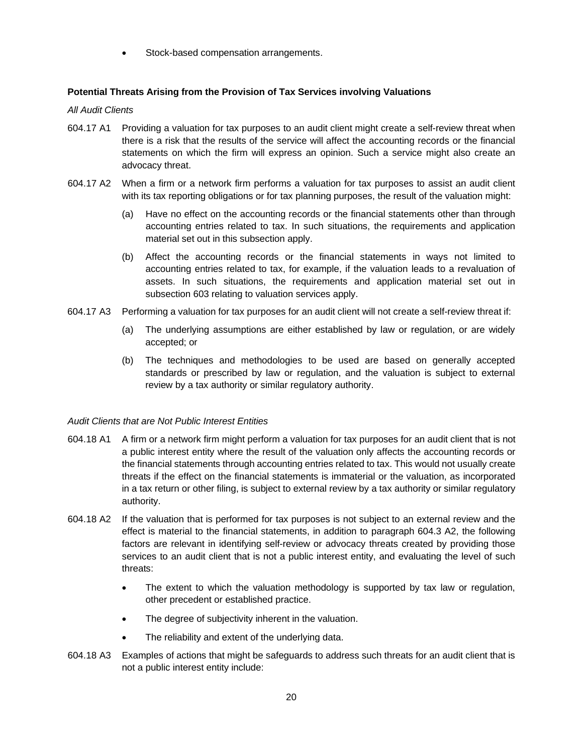Stock-based compensation arrangements.

## **Potential Threats Arising from the Provision of Tax Services involving Valuations**

#### *All Audit Clients*

- 604.17 A1 Providing a valuation for tax purposes to an audit client might create a self-review threat when there is a risk that the results of the service will affect the accounting records or the financial statements on which the firm will express an opinion. Such a service might also create an advocacy threat.
- 604.17 A2 When a firm or a network firm performs a valuation for tax purposes to assist an audit client with its tax reporting obligations or for tax planning purposes, the result of the valuation might:
	- (a) Have no effect on the accounting records or the financial statements other than through accounting entries related to tax. In such situations, the requirements and application material set out in this subsection apply.
	- (b) Affect the accounting records or the financial statements in ways not limited to accounting entries related to tax, for example, if the valuation leads to a revaluation of assets. In such situations, the requirements and application material set out in subsection 603 relating to valuation services apply.
- 604.17 A3 Performing a valuation for tax purposes for an audit client will not create a self-review threat if:
	- (a) The underlying assumptions are either established by law or regulation, or are widely accepted; or
	- (b) The techniques and methodologies to be used are based on generally accepted standards or prescribed by law or regulation, and the valuation is subject to external review by a tax authority or similar regulatory authority.

## *Audit Clients that are Not Public Interest Entities*

- 604.18 A1 A firm or a network firm might perform a valuation for tax purposes for an audit client that is not a public interest entity where the result of the valuation only affects the accounting records or the financial statements through accounting entries related to tax. This would not usually create threats if the effect on the financial statements is immaterial or the valuation, as incorporated in a tax return or other filing, is subject to external review by a tax authority or similar regulatory authority.
- 604.18 A2 If the valuation that is performed for tax purposes is not subject to an external review and the effect is material to the financial statements, in addition to paragraph 604.3 A2, the following factors are relevant in identifying self-review or advocacy threats created by providing those services to an audit client that is not a public interest entity, and evaluating the level of such threats:
	- The extent to which the valuation methodology is supported by tax law or regulation, other precedent or established practice.
	- The degree of subjectivity inherent in the valuation.
	- The reliability and extent of the underlying data.
- 604.18 A3 Examples of actions that might be safeguards to address such threats for an audit client that is not a public interest entity include: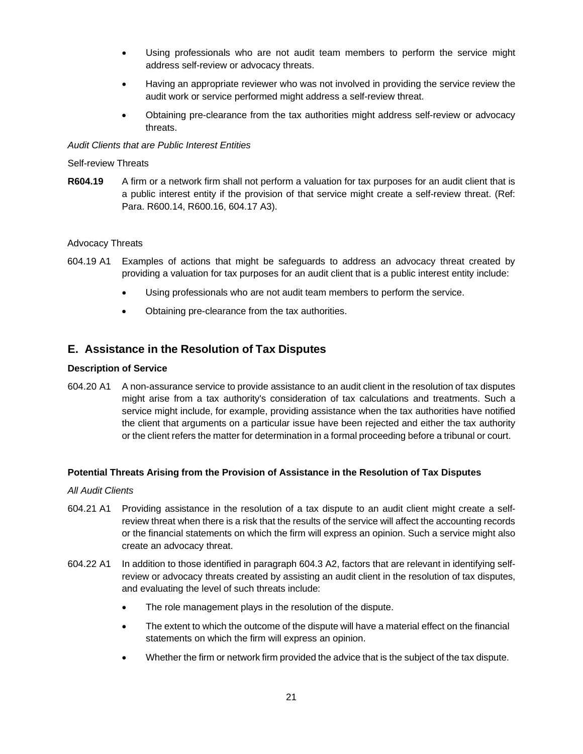- Using professionals who are not audit team members to perform the service might address self-review or advocacy threats.
- Having an appropriate reviewer who was not involved in providing the service review the audit work or service performed might address a self-review threat.
- Obtaining pre-clearance from the tax authorities might address self-review or advocacy threats.

#### *Audit Clients that are Public Interest Entities*

#### Self-review Threats

**R604.19** A firm or a network firm shall not perform a valuation for tax purposes for an audit client that is a public interest entity if the provision of that service might create a self-review threat. (Ref: Para. R600.14, R600.16, 604.17 A3).

#### Advocacy Threats

- 604.19 A1 Examples of actions that might be safeguards to address an advocacy threat created by providing a valuation for tax purposes for an audit client that is a public interest entity include:
	- Using professionals who are not audit team members to perform the service.
	- Obtaining pre-clearance from the tax authorities.

## **E. Assistance in the Resolution of Tax Disputes**

#### **Description of Service**

604.20 A1 A non-assurance service to provide assistance to an audit client in the resolution of tax disputes might arise from a tax authority's consideration of tax calculations and treatments. Such a service might include, for example, providing assistance when the tax authorities have notified the client that arguments on a particular issue have been rejected and either the tax authority or the client refers the matter for determination in a formal proceeding before a tribunal or court.

#### **Potential Threats Arising from the Provision of Assistance in the Resolution of Tax Disputes**

#### *All Audit Clients*

- 604.21 A1 Providing assistance in the resolution of a tax dispute to an audit client might create a selfreview threat when there is a risk that the results of the service will affect the accounting records or the financial statements on which the firm will express an opinion. Such a service might also create an advocacy threat.
- 604.22 A1 In addition to those identified in paragraph 604.3 A2, factors that are relevant in identifying selfreview or advocacy threats created by assisting an audit client in the resolution of tax disputes, and evaluating the level of such threats include:
	- The role management plays in the resolution of the dispute.
	- The extent to which the outcome of the dispute will have a material effect on the financial statements on which the firm will express an opinion.
	- Whether the firm or network firm provided the advice that is the subject of the tax dispute.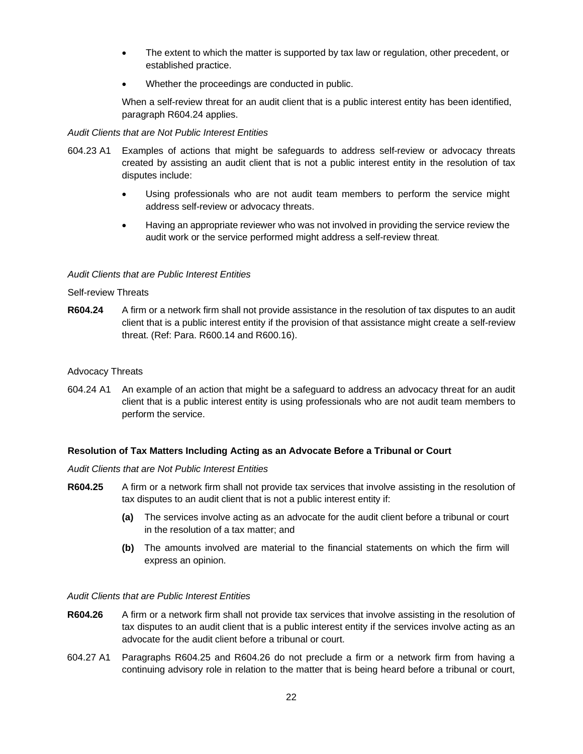- The extent to which the matter is supported by tax law or regulation, other precedent, or established practice.
- Whether the proceedings are conducted in public.

When a self-review threat for an audit client that is a public interest entity has been identified, paragraph R604.24 applies.

#### *Audit Clients that are Not Public Interest Entities*

- 604.23 A1 Examples of actions that might be safeguards to address self-review or advocacy threats created by assisting an audit client that is not a public interest entity in the resolution of tax disputes include:
	- Using professionals who are not audit team members to perform the service might address self-review or advocacy threats.
	- Having an appropriate reviewer who was not involved in providing the service review the audit work or the service performed might address a self-review threat.

#### *Audit Clients that are Public Interest Entities*

#### Self-review Threats

**R604.24** A firm or a network firm shall not provide assistance in the resolution of tax disputes to an audit client that is a public interest entity if the provision of that assistance might create a self-review threat. (Ref: Para. R600.14 and R600.16).

#### Advocacy Threats

604.24 A1 An example of an action that might be a safeguard to address an advocacy threat for an audit client that is a public interest entity is using professionals who are not audit team members to perform the service.

## **Resolution of Tax Matters Including Acting as an Advocate Before a Tribunal or Court**

#### *Audit Clients that are Not Public Interest Entities*

- **R604.25** A firm or a network firm shall not provide tax services that involve assisting in the resolution of tax disputes to an audit client that is not a public interest entity if:
	- **(a)** The services involve acting as an advocate for the audit client before a tribunal or court in the resolution of a tax matter; and
	- **(b)** The amounts involved are material to the financial statements on which the firm will express an opinion.

#### *Audit Clients that are Public Interest Entities*

- **R604.26** A firm or a network firm shall not provide tax services that involve assisting in the resolution of tax disputes to an audit client that is a public interest entity if the services involve acting as an advocate for the audit client before a tribunal or court.
- 604.27 A1 Paragraphs R604.25 and R604.26 do not preclude a firm or a network firm from having a continuing advisory role in relation to the matter that is being heard before a tribunal or court,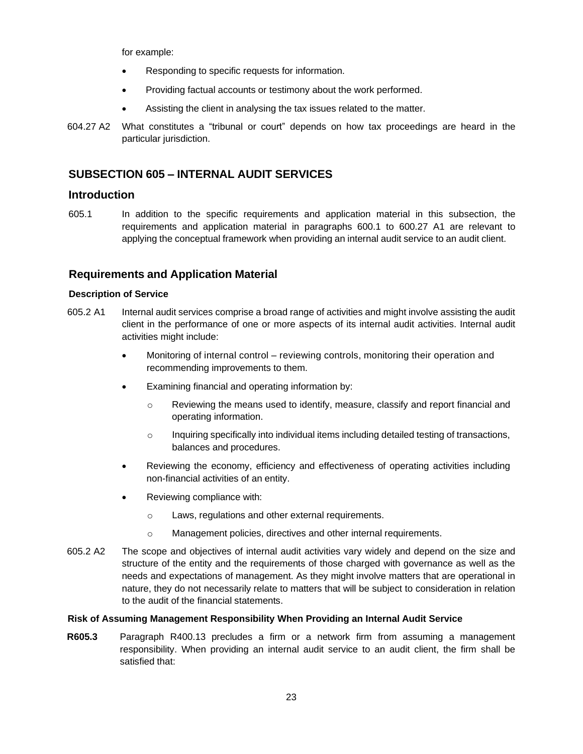for example:

- Responding to specific requests for information.
- Providing factual accounts or testimony about the work performed.
- Assisting the client in analysing the tax issues related to the matter.
- 604.27 A2 What constitutes a "tribunal or court" depends on how tax proceedings are heard in the particular jurisdiction.

## <span id="page-22-0"></span>**SUBSECTION 605 – INTERNAL AUDIT SERVICES**

## **Introduction**

605.1 In addition to the specific requirements and application material in this subsection, the requirements and application material in paragraphs 600.1 to 600.27 A1 are relevant to applying the conceptual framework when providing an internal audit service to an audit client.

## **Requirements and Application Material**

#### **Description of Service**

- 605.2 A1 Internal audit services comprise a broad range of activities and might involve assisting the audit client in the performance of one or more aspects of its internal audit activities. Internal audit activities might include:
	- Monitoring of internal control reviewing controls, monitoring their operation and recommending improvements to them.
	- Examining financial and operating information by:
		- $\circ$  Reviewing the means used to identify, measure, classify and report financial and operating information.
		- $\circ$  Inquiring specifically into individual items including detailed testing of transactions, balances and procedures.
	- Reviewing the economy, efficiency and effectiveness of operating activities including non-financial activities of an entity.
	- Reviewing compliance with:
		- o Laws, regulations and other external requirements.
		- o Management policies, directives and other internal requirements.
- 605.2 A2 The scope and objectives of internal audit activities vary widely and depend on the size and structure of the entity and the requirements of those charged with governance as well as the needs and expectations of management. As they might involve matters that are operational in nature, they do not necessarily relate to matters that will be subject to consideration in relation to the audit of the financial statements.

#### **Risk of Assuming Management Responsibility When Providing an Internal Audit Service**

**R605.3** Paragraph R400.13 precludes a firm or a network firm from assuming a management responsibility. When providing an internal audit service to an audit client, the firm shall be satisfied that: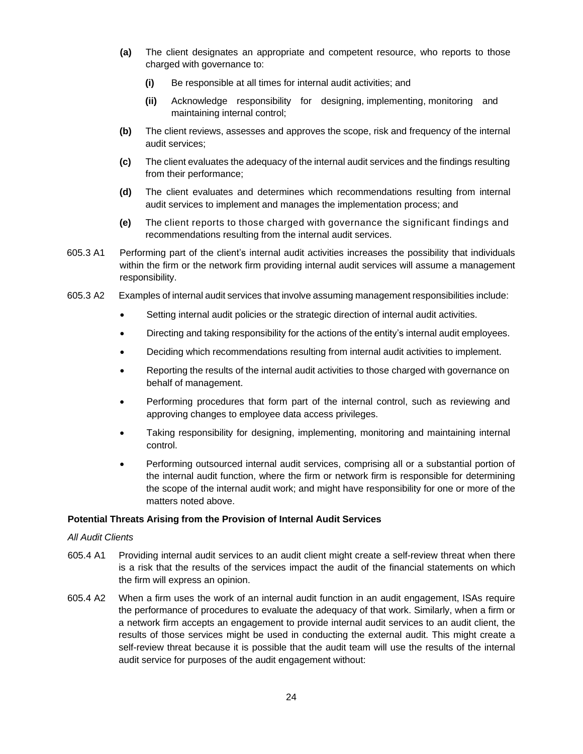- **(a)** The client designates an appropriate and competent resource, who reports to those charged with governance to:
	- **(i)** Be responsible at all times for internal audit activities; and
	- **(ii)** Acknowledge responsibility for designing, implementing, monitoring and maintaining internal control;
- **(b)** The client reviews, assesses and approves the scope, risk and frequency of the internal audit services;
- **(c)** The client evaluates the adequacy of the internal audit services and the findings resulting from their performance;
- **(d)** The client evaluates and determines which recommendations resulting from internal audit services to implement and manages the implementation process; and
- **(e)** The client reports to those charged with governance the significant findings and recommendations resulting from the internal audit services.
- 605.3 A1 Performing part of the client's internal audit activities increases the possibility that individuals within the firm or the network firm providing internal audit services will assume a management responsibility.
- 605.3 A2 Examples of internal audit services that involve assuming management responsibilities include:
	- Setting internal audit policies or the strategic direction of internal audit activities.
	- Directing and taking responsibility for the actions of the entity's internal audit employees.
	- Deciding which recommendations resulting from internal audit activities to implement.
	- Reporting the results of the internal audit activities to those charged with governance on behalf of management.
	- Performing procedures that form part of the internal control, such as reviewing and approving changes to employee data access privileges.
	- Taking responsibility for designing, implementing, monitoring and maintaining internal control.
	- Performing outsourced internal audit services, comprising all or a substantial portion of the internal audit function, where the firm or network firm is responsible for determining the scope of the internal audit work; and might have responsibility for one or more of the matters noted above.

#### **Potential Threats Arising from the Provision of Internal Audit Services**

#### *All Audit Clients*

- 605.4 A1 Providing internal audit services to an audit client might create a self-review threat when there is a risk that the results of the services impact the audit of the financial statements on which the firm will express an opinion.
- 605.4 A2 When a firm uses the work of an internal audit function in an audit engagement, ISAs require the performance of procedures to evaluate the adequacy of that work. Similarly, when a firm or a network firm accepts an engagement to provide internal audit services to an audit client, the results of those services might be used in conducting the external audit. This might create a self-review threat because it is possible that the audit team will use the results of the internal audit service for purposes of the audit engagement without: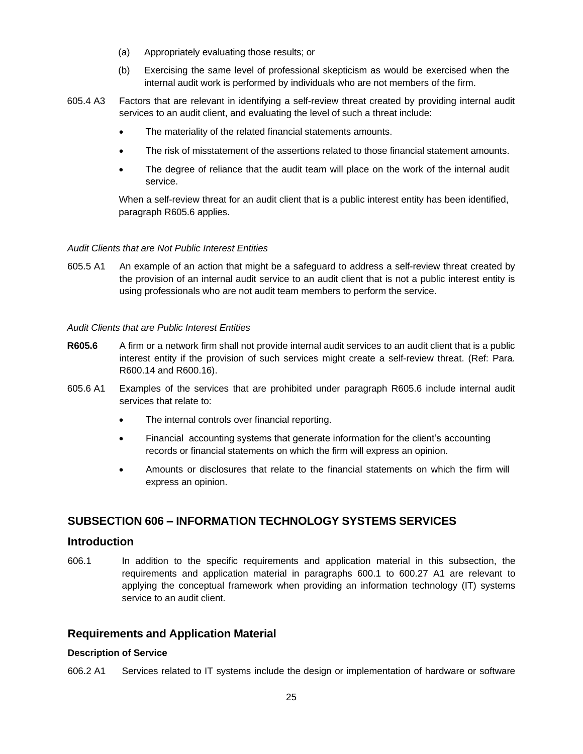- (a) Appropriately evaluating those results; or
- (b) Exercising the same level of professional skepticism as would be exercised when the internal audit work is performed by individuals who are not members of the firm.
- 605.4 A3 Factors that are relevant in identifying a self-review threat created by providing internal audit services to an audit client, and evaluating the level of such a threat include:
	- The materiality of the related financial statements amounts.
	- The risk of misstatement of the assertions related to those financial statement amounts.
	- The degree of reliance that the audit team will place on the work of the internal audit service.

When a self-review threat for an audit client that is a public interest entity has been identified, paragraph R605.6 applies.

#### *Audit Clients that are Not Public Interest Entities*

605.5 A1 An example of an action that might be a safeguard to address a self-review threat created by the provision of an internal audit service to an audit client that is not a public interest entity is using professionals who are not audit team members to perform the service.

#### *Audit Clients that are Public Interest Entities*

- **R605.6** A firm or a network firm shall not provide internal audit services to an audit client that is a public interest entity if the provision of such services might create a self-review threat. (Ref: Para. R600.14 and R600.16).
- 605.6 A1 Examples of the services that are prohibited under paragraph R605.6 include internal audit services that relate to:
	- The internal controls over financial reporting.
	- Financial accounting systems that generate information for the client's accounting records or financial statements on which the firm will express an opinion.
	- Amounts or disclosures that relate to the financial statements on which the firm will express an opinion.

## <span id="page-24-0"></span>**SUBSECTION 606 – INFORMATION TECHNOLOGY SYSTEMS SERVICES**

## **Introduction**

606.1 In addition to the specific requirements and application material in this subsection, the requirements and application material in paragraphs 600.1 to 600.27 A1 are relevant to applying the conceptual framework when providing an information technology (IT) systems service to an audit client.

## **Requirements and Application Material**

#### **Description of Service**

606.2 A1 Services related to IT systems include the design or implementation of hardware or software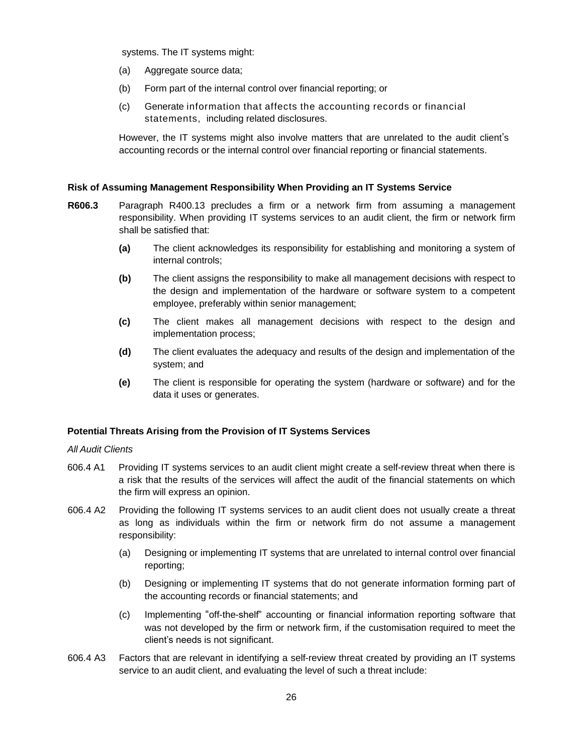systems. The IT systems might:

- (a) Aggregate source data;
- (b) Form part of the internal control over financial reporting; or
- (c) Generate information that affects the accounting records or financial statements, including related disclosures.

However, the IT systems might also involve matters that are unrelated to the audit client's accounting records or the internal control over financial reporting or financial statements.

#### **Risk of Assuming Management Responsibility When Providing an IT Systems Service**

- **R606.3** Paragraph R400.13 precludes a firm or a network firm from assuming a management responsibility. When providing IT systems services to an audit client, the firm or network firm shall be satisfied that:
	- **(a)** The client acknowledges its responsibility for establishing and monitoring a system of internal controls;
	- **(b)** The client assigns the responsibility to make all management decisions with respect to the design and implementation of the hardware or software system to a competent employee, preferably within senior management;
	- **(c)** The client makes all management decisions with respect to the design and implementation process;
	- **(d)** The client evaluates the adequacy and results of the design and implementation of the system; and
	- **(e)** The client is responsible for operating the system (hardware or software) and for the data it uses or generates.

#### **Potential Threats Arising from the Provision of IT Systems Services**

#### *All Audit Clients*

- 606.4 A1 Providing IT systems services to an audit client might create a self-review threat when there is a risk that the results of the services will affect the audit of the financial statements on which the firm will express an opinion.
- 606.4 A2 Providing the following IT systems services to an audit client does not usually create a threat as long as individuals within the firm or network firm do not assume a management responsibility:
	- (a) Designing or implementing IT systems that are unrelated to internal control over financial reporting;
	- (b) Designing or implementing IT systems that do not generate information forming part of the accounting records or financial statements; and
	- (c) Implementing "off-the-shelf" accounting or financial information reporting software that was not developed by the firm or network firm, if the customisation required to meet the client's needs is not significant.
- 606.4 A3 Factors that are relevant in identifying a self-review threat created by providing an IT systems service to an audit client, and evaluating the level of such a threat include: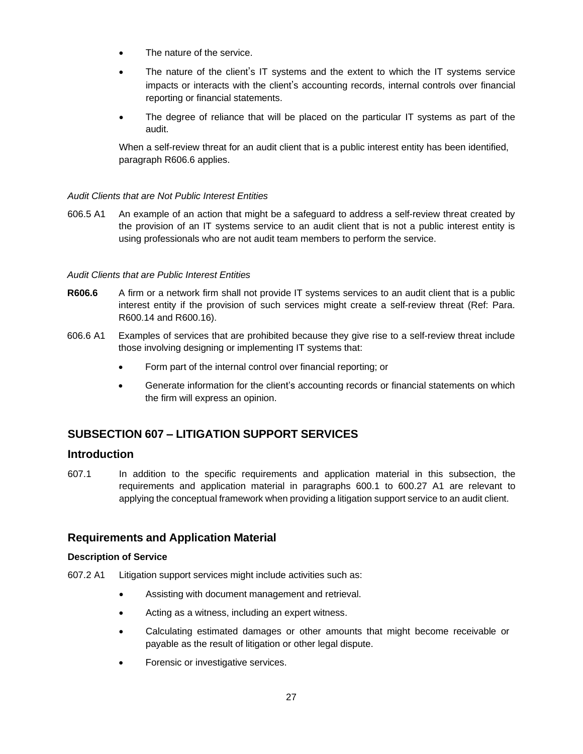- The nature of the service.
- The nature of the client's IT systems and the extent to which the IT systems service impacts or interacts with the client's accounting records, internal controls over financial reporting or financial statements.
- The degree of reliance that will be placed on the particular IT systems as part of the audit.

When a self-review threat for an audit client that is a public interest entity has been identified, paragraph R606.6 applies.

#### *Audit Clients that are Not Public Interest Entities*

606.5 A1 An example of an action that might be a safeguard to address a self-review threat created by the provision of an IT systems service to an audit client that is not a public interest entity is using professionals who are not audit team members to perform the service.

#### *Audit Clients that are Public Interest Entities*

- **R606.6** A firm or a network firm shall not provide IT systems services to an audit client that is a public interest entity if the provision of such services might create a self-review threat (Ref: Para. R600.14 and R600.16).
- 606.6 A1 Examples of services that are prohibited because they give rise to a self-review threat include those involving designing or implementing IT systems that:
	- Form part of the internal control over financial reporting; or
	- Generate information for the client's accounting records or financial statements on which the firm will express an opinion.

## <span id="page-26-0"></span>**SUBSECTION 607 – LITIGATION SUPPORT SERVICES**

## **Introduction**

607.1 In addition to the specific requirements and application material in this subsection, the requirements and application material in paragraphs 600.1 to 600.27 A1 are relevant to applying the conceptual framework when providing a litigation support service to an audit client.

## **Requirements and Application Material**

#### **Description of Service**

- 607.2 A1 Litigation support services might include activities such as:
	- Assisting with document management and retrieval.
	- Acting as a witness, including an expert witness.
	- Calculating estimated damages or other amounts that might become receivable or payable as the result of litigation or other legal dispute.
	- Forensic or investigative services.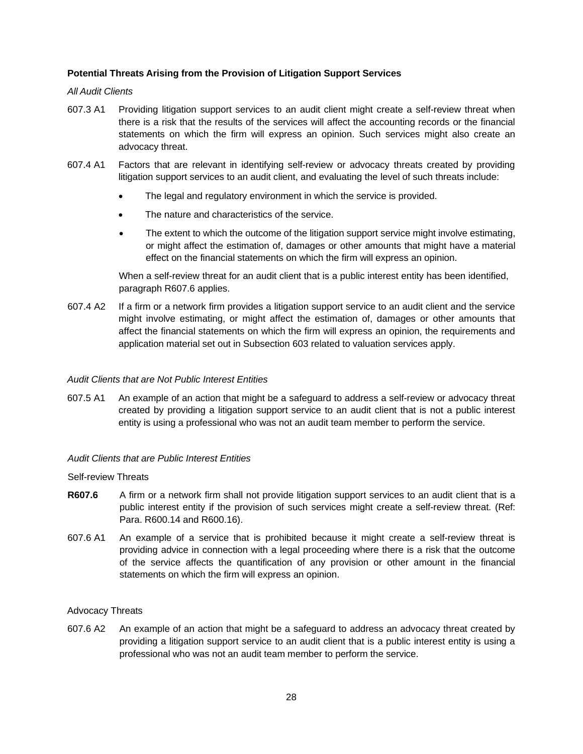### **Potential Threats Arising from the Provision of Litigation Support Services**

#### *All Audit Clients*

- 607.3 A1 Providing litigation support services to an audit client might create a self-review threat when there is a risk that the results of the services will affect the accounting records or the financial statements on which the firm will express an opinion. Such services might also create an advocacy threat.
- 607.4 A1 Factors that are relevant in identifying self-review or advocacy threats created by providing litigation support services to an audit client, and evaluating the level of such threats include:
	- The legal and regulatory environment in which the service is provided.
	- The nature and characteristics of the service.
	- The extent to which the outcome of the litigation support service might involve estimating, or might affect the estimation of, damages or other amounts that might have a material effect on the financial statements on which the firm will express an opinion.

When a self-review threat for an audit client that is a public interest entity has been identified, paragraph R607.6 applies.

607.4 A2 If a firm or a network firm provides a litigation support service to an audit client and the service might involve estimating, or might affect the estimation of, damages or other amounts that affect the financial statements on which the firm will express an opinion, the requirements and application material set out in Subsection 603 related to valuation services apply.

#### *Audit Clients that are Not Public Interest Entities*

607.5 A1 An example of an action that might be a safeguard to address a self-review or advocacy threat created by providing a litigation support service to an audit client that is not a public interest entity is using a professional who was not an audit team member to perform the service.

#### *Audit Clients that are Public Interest Entities*

#### Self-review Threats

- **R607.6** A firm or a network firm shall not provide litigation support services to an audit client that is a public interest entity if the provision of such services might create a self-review threat. (Ref: Para. R600.14 and R600.16).
- 607.6 A1 An example of a service that is prohibited because it might create a self-review threat is providing advice in connection with a legal proceeding where there is a risk that the outcome of the service affects the quantification of any provision or other amount in the financial statements on which the firm will express an opinion.

#### Advocacy Threats

607.6 A2 An example of an action that might be a safeguard to address an advocacy threat created by providing a litigation support service to an audit client that is a public interest entity is using a professional who was not an audit team member to perform the service.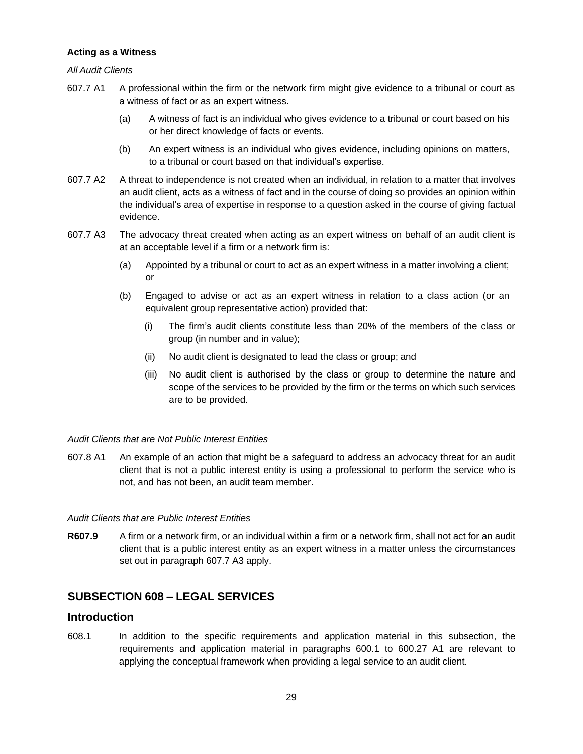#### **Acting as a Witness**

#### *All Audit Clients*

- 607.7 A1 A professional within the firm or the network firm might give evidence to a tribunal or court as a witness of fact or as an expert witness.
	- (a) A witness of fact is an individual who gives evidence to a tribunal or court based on his or her direct knowledge of facts or events.
	- (b) An expert witness is an individual who gives evidence, including opinions on matters, to a tribunal or court based on that individual's expertise.
- 607.7 A2 A threat to independence is not created when an individual, in relation to a matter that involves an audit client, acts as a witness of fact and in the course of doing so provides an opinion within the individual's area of expertise in response to a question asked in the course of giving factual evidence.
- 607.7 A3 The advocacy threat created when acting as an expert witness on behalf of an audit client is at an acceptable level if a firm or a network firm is:
	- (a) Appointed by a tribunal or court to act as an expert witness in a matter involving a client; or
	- (b) Engaged to advise or act as an expert witness in relation to a class action (or an equivalent group representative action) provided that:
		- (i) The firm's audit clients constitute less than 20% of the members of the class or group (in number and in value);
		- (ii) No audit client is designated to lead the class or group; and
		- (iii) No audit client is authorised by the class or group to determine the nature and scope of the services to be provided by the firm or the terms on which such services are to be provided.

#### *Audit Clients that are Not Public Interest Entities*

607.8 A1 An example of an action that might be a safeguard to address an advocacy threat for an audit client that is not a public interest entity is using a professional to perform the service who is not, and has not been, an audit team member.

#### *Audit Clients that are Public Interest Entities*

**R607.9** A firm or a network firm, or an individual within a firm or a network firm, shall not act for an audit client that is a public interest entity as an expert witness in a matter unless the circumstances set out in paragraph 607.7 A3 apply.

## <span id="page-28-0"></span>**SUBSECTION 608 – LEGAL SERVICES**

## **Introduction**

608.1 In addition to the specific requirements and application material in this subsection, the requirements and application material in paragraphs 600.1 to 600.27 A1 are relevant to applying the conceptual framework when providing a legal service to an audit client.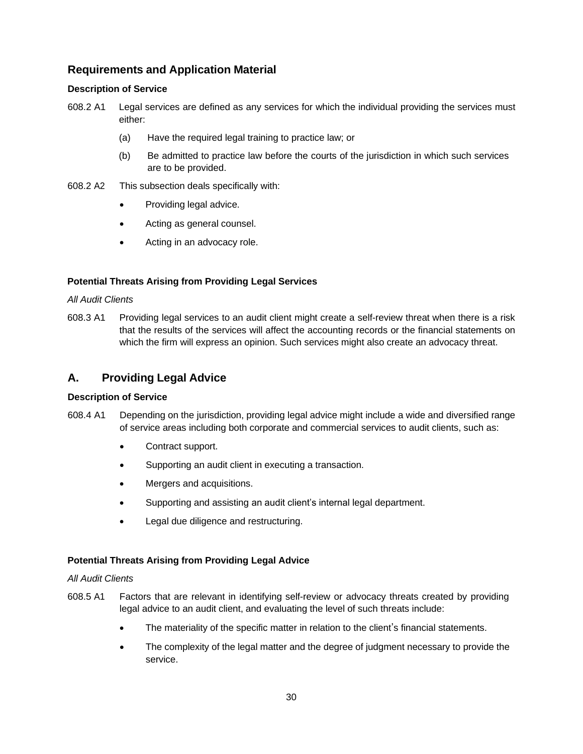## **Requirements and Application Material**

## **Description of Service**

- 608.2 A1 Legal services are defined as any services for which the individual providing the services must either:
	- (a) Have the required legal training to practice law; or
	- (b) Be admitted to practice law before the courts of the jurisdiction in which such services are to be provided.
- 608.2 A2 This subsection deals specifically with:
	- Providing legal advice.
	- Acting as general counsel.
	- Acting in an advocacy role.

#### **Potential Threats Arising from Providing Legal Services**

#### *All Audit Clients*

608.3 A1 Providing legal services to an audit client might create a self-review threat when there is a risk that the results of the services will affect the accounting records or the financial statements on which the firm will express an opinion. Such services might also create an advocacy threat.

## **A. Providing Legal Advice**

#### **Description of Service**

- 608.4 A1 Depending on the jurisdiction, providing legal advice might include a wide and diversified range of service areas including both corporate and commercial services to audit clients, such as:
	- Contract support.
	- Supporting an audit client in executing a transaction.
	- Mergers and acquisitions.
	- Supporting and assisting an audit client's internal legal department.
	- Legal due diligence and restructuring.

#### **Potential Threats Arising from Providing Legal Advice**

#### *All Audit Clients*

- 608.5 A1 Factors that are relevant in identifying self-review or advocacy threats created by providing legal advice to an audit client, and evaluating the level of such threats include:
	- The materiality of the specific matter in relation to the client's financial statements.
	- The complexity of the legal matter and the degree of judgment necessary to provide the service.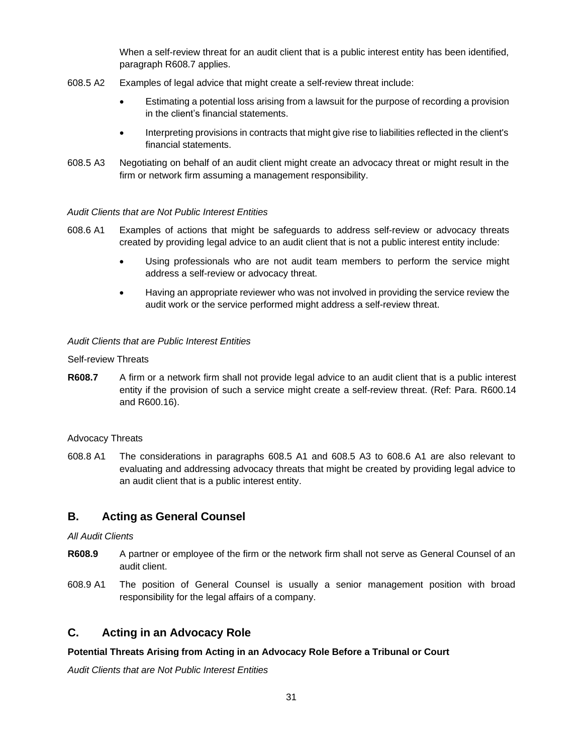When a self-review threat for an audit client that is a public interest entity has been identified, paragraph R608.7 applies.

- 608.5 A2 Examples of legal advice that might create a self-review threat include:
	- Estimating a potential loss arising from a lawsuit for the purpose of recording a provision in the client's financial statements.
	- Interpreting provisions in contracts that might give rise to liabilities reflected in the client's financial statements.
- 608.5 A3 Negotiating on behalf of an audit client might create an advocacy threat or might result in the firm or network firm assuming a management responsibility.

#### *Audit Clients that are Not Public Interest Entities*

- 608.6 A1 Examples of actions that might be safeguards to address self-review or advocacy threats created by providing legal advice to an audit client that is not a public interest entity include:
	- Using professionals who are not audit team members to perform the service might address a self-review or advocacy threat.
	- Having an appropriate reviewer who was not involved in providing the service review the audit work or the service performed might address a self-review threat.

#### *Audit Clients that are Public Interest Entities*

Self-review Threats

**R608.7** A firm or a network firm shall not provide legal advice to an audit client that is a public interest entity if the provision of such a service might create a self-review threat. (Ref: Para. R600.14 and R600.16).

#### Advocacy Threats

608.8 A1 The considerations in paragraphs 608.5 A1 and 608.5 A3 to 608.6 A1 are also relevant to evaluating and addressing advocacy threats that might be created by providing legal advice to an audit client that is a public interest entity.

## **B. Acting as General Counsel**

*All Audit Clients*

- **R608.9** A partner or employee of the firm or the network firm shall not serve as General Counsel of an audit client.
- 608.9 A1 The position of General Counsel is usually a senior management position with broad responsibility for the legal affairs of a company.

## **C. Acting in an Advocacy Role**

## **Potential Threats Arising from Acting in an Advocacy Role Before a Tribunal or Court**

*Audit Clients that are Not Public Interest Entities*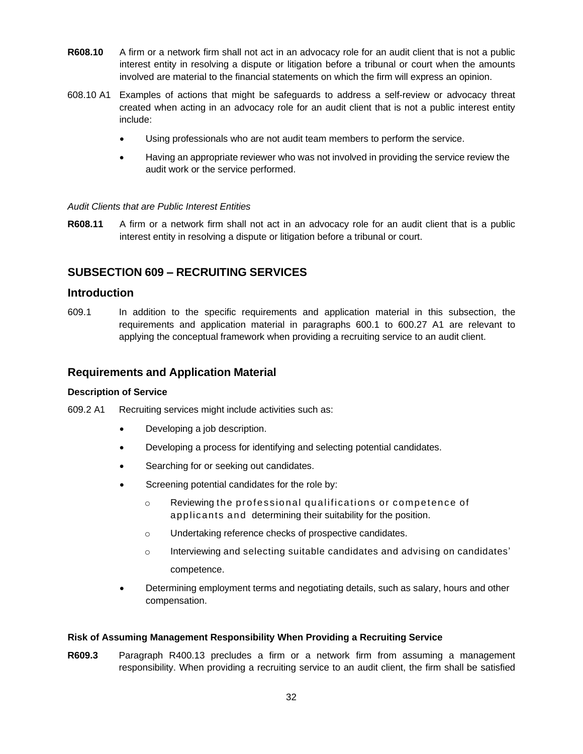- **R608.10** A firm or a network firm shall not act in an advocacy role for an audit client that is not a public interest entity in resolving a dispute or litigation before a tribunal or court when the amounts involved are material to the financial statements on which the firm will express an opinion.
- 608.10 A1 Examples of actions that might be safeguards to address a self-review or advocacy threat created when acting in an advocacy role for an audit client that is not a public interest entity include:
	- Using professionals who are not audit team members to perform the service.
	- Having an appropriate reviewer who was not involved in providing the service review the audit work or the service performed.

#### *Audit Clients that are Public Interest Entities*

**R608.11** A firm or a network firm shall not act in an advocacy role for an audit client that is a public interest entity in resolving a dispute or litigation before a tribunal or court.

## <span id="page-31-0"></span>**SUBSECTION 609 – RECRUITING SERVICES**

## **Introduction**

609.1 In addition to the specific requirements and application material in this subsection, the requirements and application material in paragraphs 600.1 to 600.27 A1 are relevant to applying the conceptual framework when providing a recruiting service to an audit client.

## **Requirements and Application Material**

#### **Description of Service**

609.2 A1 Recruiting services might include activities such as:

- Developing a job description.
- Developing a process for identifying and selecting potential candidates.
- Searching for or seeking out candidates.
- Screening potential candidates for the role by:
	- o Reviewing the professio nal qualifications or competence of applicants and determining their suitability for the position.
	- o Undertaking reference checks of prospective candidates.
	- $\circ$  Interviewing and selecting suitable candidates and advising on candidates' competence.
- Determining employment terms and negotiating details, such as salary, hours and other compensation.

#### **Risk of Assuming Management Responsibility When Providing a Recruiting Service**

**R609.3** Paragraph R400.13 precludes a firm or a network firm from assuming a management responsibility. When providing a recruiting service to an audit client, the firm shall be satisfied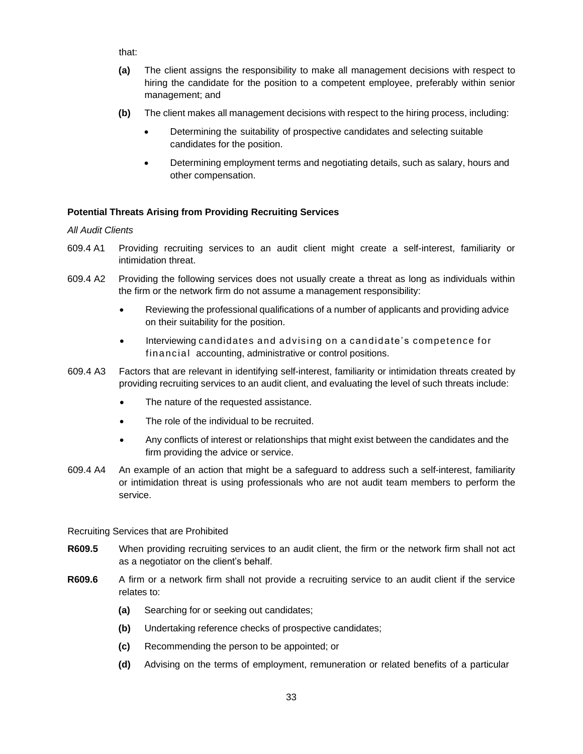that:

- **(a)** The client assigns the responsibility to make all management decisions with respect to hiring the candidate for the position to a competent employee, preferably within senior management; and
- **(b)** The client makes all management decisions with respect to the hiring process, including:
	- Determining the suitability of prospective candidates and selecting suitable candidates for the position.
	- Determining employment terms and negotiating details, such as salary, hours and other compensation.

## **Potential Threats Arising from Providing Recruiting Services**

## *All Audit Clients*

- 609.4 A1 Providing recruiting services to an audit client might create a self-interest, familiarity or intimidation threat.
- 609.4 A2 Providing the following services does not usually create a threat as long as individuals within the firm or the network firm do not assume a management responsibility:
	- Reviewing the professional qualifications of a number of applicants and providing advice on their suitability for the position.
	- Interviewing candidates and advising on a candidate's competence for financial accounting, administrative or control positions.
- 609.4 A3 Factors that are relevant in identifying self-interest, familiarity or intimidation threats created by providing recruiting services to an audit client, and evaluating the level of such threats include:
	- The nature of the requested assistance.
	- The role of the individual to be recruited.
	- Any conflicts of interest or relationships that might exist between the candidates and the firm providing the advice or service.
- 609.4 A4 An example of an action that might be a safeguard to address such a self-interest, familiarity or intimidation threat is using professionals who are not audit team members to perform the service.

#### Recruiting Services that are Prohibited

- **R609.5** When providing recruiting services to an audit client, the firm or the network firm shall not act as a negotiator on the client's behalf.
- **R609.6** A firm or a network firm shall not provide a recruiting service to an audit client if the service relates to:
	- **(a)** Searching for or seeking out candidates;
	- **(b)** Undertaking reference checks of prospective candidates;
	- **(c)** Recommending the person to be appointed; or
	- **(d)** Advising on the terms of employment, remuneration or related benefits of a particular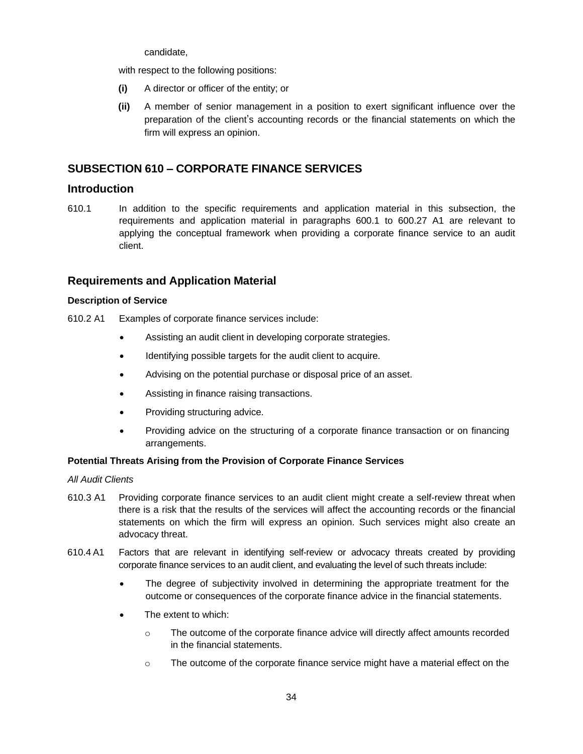candidate,

with respect to the following positions:

- **(i)** A director or officer of the entity; or
- **(ii)** A member of senior management in a position to exert significant influence over the preparation of the client's accounting records or the financial statements on which the firm will express an opinion.

## <span id="page-33-0"></span>**SUBSECTION 610 – CORPORATE FINANCE SERVICES**

## **Introduction**

610.1 In addition to the specific requirements and application material in this subsection, the requirements and application material in paragraphs 600.1 to 600.27 A1 are relevant to applying the conceptual framework when providing a corporate finance service to an audit client.

## **Requirements and Application Material**

## **Description of Service**

610.2 A1 Examples of corporate finance services include:

- Assisting an audit client in developing corporate strategies.
- Identifying possible targets for the audit client to acquire.
- Advising on the potential purchase or disposal price of an asset.
- Assisting in finance raising transactions.
- Providing structuring advice.
- Providing advice on the structuring of a corporate finance transaction or on financing arrangements.

## **Potential Threats Arising from the Provision of Corporate Finance Services**

#### *All Audit Clients*

- 610.3 A1 Providing corporate finance services to an audit client might create a self-review threat when there is a risk that the results of the services will affect the accounting records or the financial statements on which the firm will express an opinion. Such services might also create an advocacy threat.
- 610.4 A1 Factors that are relevant in identifying self-review or advocacy threats created by providing corporate finance services to an audit client, and evaluating the level of such threats include:
	- The degree of subjectivity involved in determining the appropriate treatment for the outcome or consequences of the corporate finance advice in the financial statements.
	- The extent to which:
		- o The outcome of the corporate finance advice will directly affect amounts recorded in the financial statements.
		- $\circ$  The outcome of the corporate finance service might have a material effect on the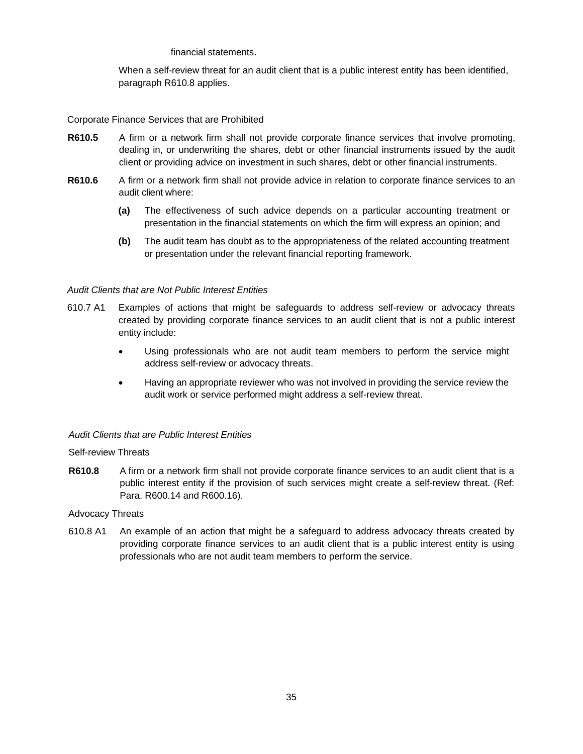#### financial statements.

When a self-review threat for an audit client that is a public interest entity has been identified, paragraph R610.8 applies.

#### Corporate Finance Services that are Prohibited

- **R610.5** A firm or a network firm shall not provide corporate finance services that involve promoting, dealing in, or underwriting the shares, debt or other financial instruments issued by the audit client or providing advice on investment in such shares, debt or other financial instruments.
- **R610.6** A firm or a network firm shall not provide advice in relation to corporate finance services to an audit client where:
	- **(a)** The effectiveness of such advice depends on a particular accounting treatment or presentation in the financial statements on which the firm will express an opinion; and
	- **(b)** The audit team has doubt as to the appropriateness of the related accounting treatment or presentation under the relevant financial reporting framework.

#### *Audit Clients that are Not Public Interest Entities*

- 610.7 A1 Examples of actions that might be safeguards to address self-review or advocacy threats created by providing corporate finance services to an audit client that is not a public interest entity include:
	- Using professionals who are not audit team members to perform the service might address self-review or advocacy threats.
	- Having an appropriate reviewer who was not involved in providing the service review the audit work or service performed might address a self-review threat.

#### *Audit Clients that are Public Interest Entities*

#### Self-review Threats

**R610.8** A firm or a network firm shall not provide corporate finance services to an audit client that is a public interest entity if the provision of such services might create a self-review threat. (Ref: Para. R600.14 and R600.16).

#### Advocacy Threats

610.8 A1 An example of an action that might be a safeguard to address advocacy threats created by providing corporate finance services to an audit client that is a public interest entity is using professionals who are not audit team members to perform the service.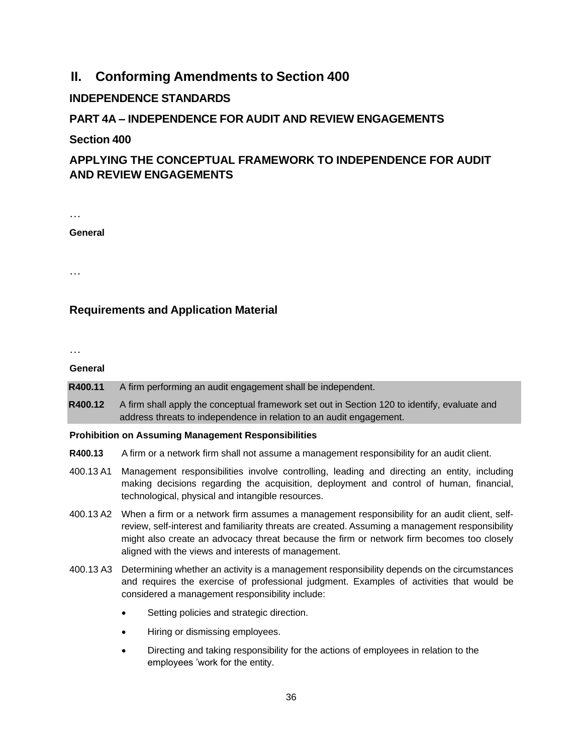## **II. Conforming Amendments to Section 400**

## **INDEPENDENCE STANDARDS**

## **PART 4A – INDEPENDENCE FOR AUDIT AND REVIEW ENGAGEMENTS**

## <span id="page-35-0"></span>**Section 400**

## **APPLYING THE CONCEPTUAL FRAMEWORK TO INDEPENDENCE FOR AUDIT AND REVIEW ENGAGEMENTS**

…

**General**

…

## **Requirements and Application Material**

…

#### **General**

- **R400.11** A firm performing an audit engagement shall be independent.
- **R400.12** A firm shall apply the conceptual framework set out in Section 120 to identify, evaluate and address threats to independence in relation to an audit engagement.

## **Prohibition on Assuming Management Responsibilities**

- **R400.13** A firm or a network firm shall not assume a management responsibility for an audit client.
- 400.13 A1 Management responsibilities involve controlling, leading and directing an entity, including making decisions regarding the acquisition, deployment and control of human, financial, technological, physical and intangible resources.
- 400.13 A2 When a firm or a network firm assumes a management responsibility for an audit client, selfreview, self-interest and familiarity threats are created. Assuming a management responsibility might also create an advocacy threat because the firm or network firm becomes too closely aligned with the views and interests of management.
- 400.13 A3 Determining whether an activity is a management responsibility depends on the circumstances and requires the exercise of professional judgment. Examples of activities that would be considered a management responsibility include:
	- Setting policies and strategic direction.
	- Hiring or dismissing employees.
	- Directing and taking responsibility for the actions of employees in relation to the employees 'work for the entity.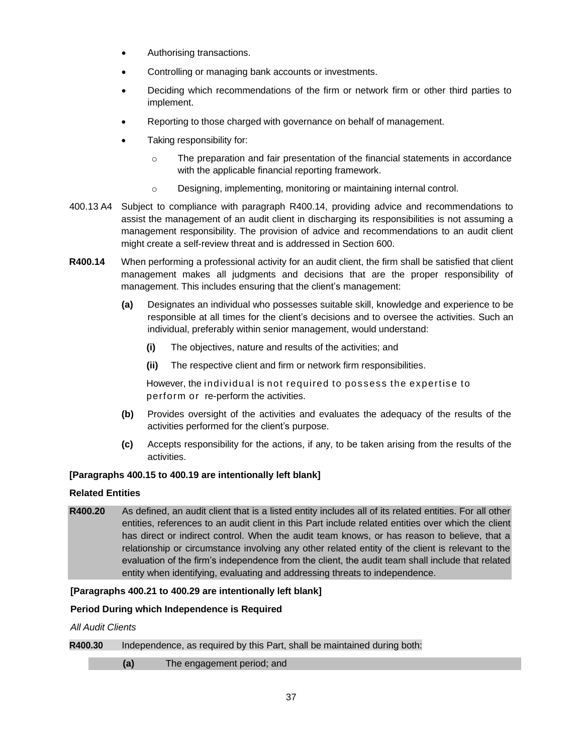- Authorising transactions.
- Controlling or managing bank accounts or investments.
- Deciding which recommendations of the firm or network firm or other third parties to implement.
- Reporting to those charged with governance on behalf of management.
- Taking responsibility for:
	- o The preparation and fair presentation of the financial statements in accordance with the applicable financial reporting framework.
	- o Designing, implementing, monitoring or maintaining internal control.
- 400.13 A4 Subject to compliance with paragraph R400.14, providing advice and recommendations to assist the management of an audit client in discharging its responsibilities is not assuming a management responsibility. The provision of advice and recommendations to an audit client might create a self-review threat and is addressed in Section 600.
- **R400.14** When performing a professional activity for an audit client, the firm shall be satisfied that client management makes all judgments and decisions that are the proper responsibility of management. This includes ensuring that the client's management:
	- **(a)** Designates an individual who possesses suitable skill, knowledge and experience to be responsible at all times for the client's decisions and to oversee the activities. Such an individual, preferably within senior management, would understand:
		- **(i)** The objectives, nature and results of the activities; and
		- **(ii)** The respective client and firm or network firm responsibilities.

However, the individual is not required to possess the expertise to perform or re-perform the activities.

- **(b)** Provides oversight of the activities and evaluates the adequacy of the results of the activities performed for the client's purpose.
- **(c)** Accepts responsibility for the actions, if any, to be taken arising from the results of the activities.

## **[Paragraphs 400.15 to 400.19 are intentionally left blank]**

## **Related Entities**

**R400.20** As defined, an audit client that is a listed entity includes all of its related entities. For all other entities, references to an audit client in this Part include related entities over which the client has direct or indirect control. When the audit team knows, or has reason to believe, that a relationship or circumstance involving any other related entity of the client is relevant to the evaluation of the firm's independence from the client, the audit team shall include that related entity when identifying, evaluating and addressing threats to independence.

## **[Paragraphs 400.21 to 400.29 are intentionally left blank]**

## **Period During which Independence is Required**

*All Audit Clients*

## **R400.30** Independence, as required by this Part, shall be maintained during both:

**(a)** The engagement period; and

37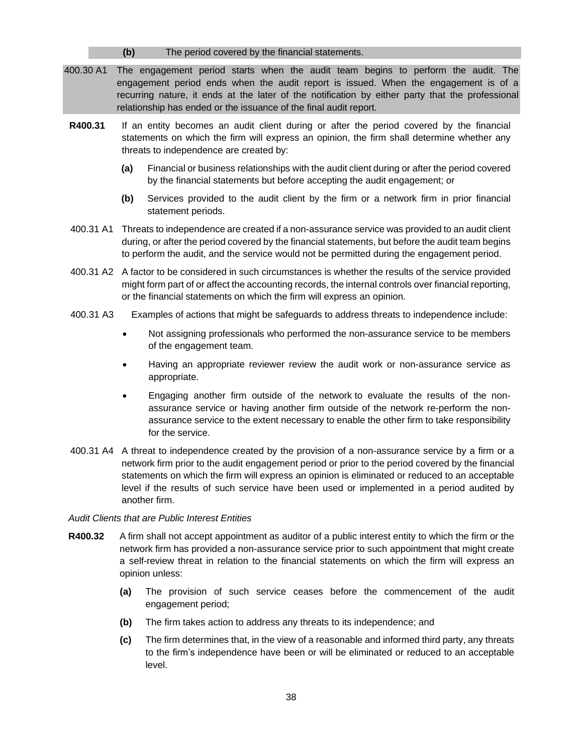#### **(b)** The period covered by the financial statements.

- 400.30 A1 The engagement period starts when the audit team begins to perform the audit. The engagement period ends when the audit report is issued. When the engagement is of a recurring nature, it ends at the later of the notification by either party that the professional relationship has ended or the issuance of the final audit report.
- **R400.31** If an entity becomes an audit client during or after the period covered by the financial statements on which the firm will express an opinion, the firm shall determine whether any threats to independence are created by:
	- **(a)** Financial or business relationships with the audit client during or after the period covered by the financial statements but before accepting the audit engagement; or
	- **(b)** Services provided to the audit client by the firm or a network firm in prior financial statement periods.
- 400.31 A1 Threats to independence are created if a non-assurance service was provided to an audit client during, or after the period covered by the financial statements, but before the audit team begins to perform the audit, and the service would not be permitted during the engagement period.
- 400.31 A2 A factor to be considered in such circumstances is whether the results of the service provided might form part of or affect the accounting records, the internal controls over financial reporting, or the financial statements on which the firm will express an opinion.
- 400.31 A3 Examples of actions that might be safeguards to address threats to independence include:
	- Not assigning professionals who performed the non-assurance service to be members of the engagement team.
	- Having an appropriate reviewer review the audit work or non-assurance service as appropriate.
	- Engaging another firm outside of the network to evaluate the results of the nonassurance service or having another firm outside of the network re-perform the nonassurance service to the extent necessary to enable the other firm to take responsibility for the service.
- 400.31 A4 A threat to independence created by the provision of a non-assurance service by a firm or a network firm prior to the audit engagement period or prior to the period covered by the financial statements on which the firm will express an opinion is eliminated or reduced to an acceptable level if the results of such service have been used or implemented in a period audited by another firm.

*Audit Clients that are Public Interest Entities*

- **R400.32** A firm shall not accept appointment as auditor of a public interest entity to which the firm or the network firm has provided a non-assurance service prior to such appointment that might create a self-review threat in relation to the financial statements on which the firm will express an opinion unless:
	- **(a)** The provision of such service ceases before the commencement of the audit engagement period;
	- **(b)** The firm takes action to address any threats to its independence; and
	- **(c)** The firm determines that, in the view of a reasonable and informed third party, any threats to the firm's independence have been or will be eliminated or reduced to an acceptable level.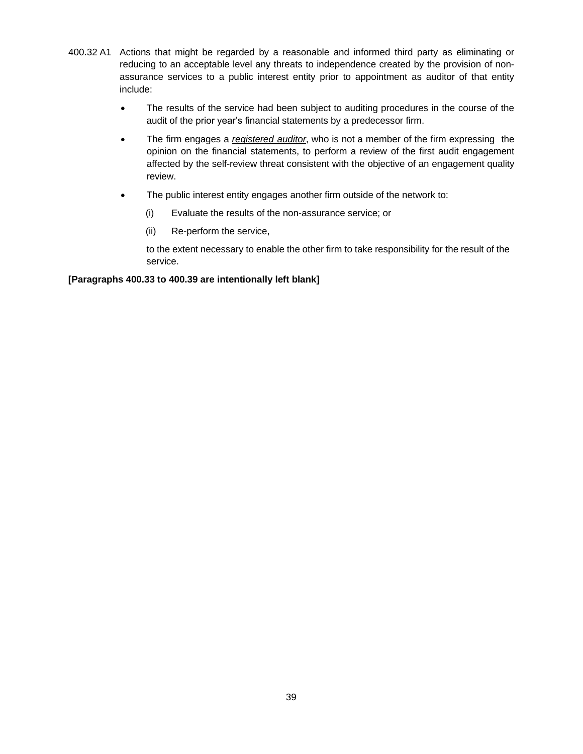- 400.32 A1 Actions that might be regarded by a reasonable and informed third party as eliminating or reducing to an acceptable level any threats to independence created by the provision of nonassurance services to a public interest entity prior to appointment as auditor of that entity include:
	- The results of the service had been subject to auditing procedures in the course of the audit of the prior year's financial statements by a predecessor firm.
	- The firm engages a *registered auditor*, who is not a member of the firm expressing the opinion on the financial statements, to perform a review of the first audit engagement affected by the self-review threat consistent with the objective of an engagement quality review.
	- The public interest entity engages another firm outside of the network to:
		- (i) Evaluate the results of the non-assurance service; or
		- (ii) Re-perform the service,

to the extent necessary to enable the other firm to take responsibility for the result of the service.

#### **[Paragraphs 400.33 to 400.39 are intentionally left blank]**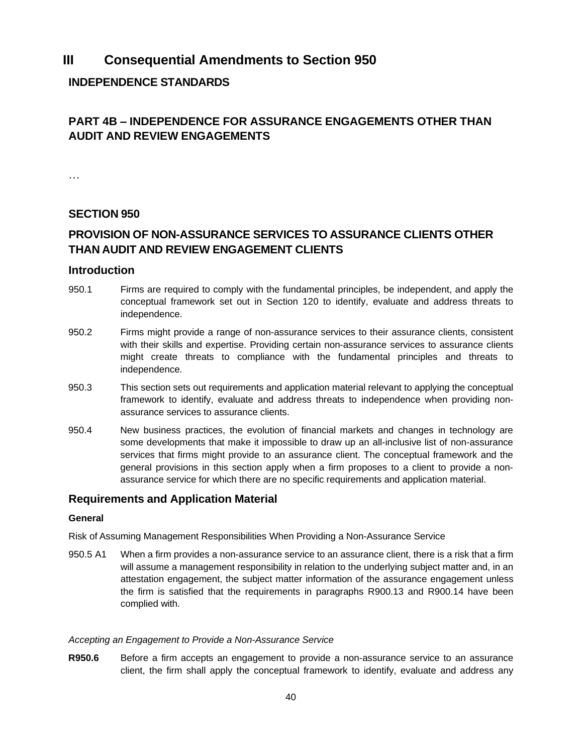## **III Consequential Amendments to Section 950**

## **INDEPENDENCE STANDARDS**

## **PART 4B – INDEPENDENCE FOR ASSURANCE ENGAGEMENTS OTHER THAN AUDIT AND REVIEW ENGAGEMENTS**

…

## <span id="page-39-0"></span>**SECTION 950**

## **PROVISION OF NON-ASSURANCE SERVICES TO ASSURANCE CLIENTS OTHER THAN AUDIT AND REVIEW ENGAGEMENT CLIENTS**

## **Introduction**

- 950.1 Firms are required to comply with the fundamental principles, be independent, and apply the conceptual framework set out in Section 120 to identify, evaluate and address threats to independence.
- 950.2 Firms might provide a range of non-assurance services to their assurance clients, consistent with their skills and expertise. Providing certain non-assurance services to assurance clients might create threats to compliance with the fundamental principles and threats to independence.
- 950.3 This section sets out requirements and application material relevant to applying the conceptual framework to identify, evaluate and address threats to independence when providing nonassurance services to assurance clients.
- 950.4 New business practices, the evolution of financial markets and changes in technology are some developments that make it impossible to draw up an all-inclusive list of non-assurance services that firms might provide to an assurance client. The conceptual framework and the general provisions in this section apply when a firm proposes to a client to provide a nonassurance service for which there are no specific requirements and application material.

## **Requirements and Application Material**

## **General**

Risk of Assuming Management Responsibilities When Providing a Non-Assurance Service

950.5 A1 When a firm provides a non-assurance service to an assurance client, there is a risk that a firm will assume a management responsibility in relation to the underlying subject matter and, in an attestation engagement, the subject matter information of the assurance engagement unless the firm is satisfied that the requirements in paragraphs R900.13 and R900.14 have been complied with.

#### *Accepting an Engagement to Provide a Non-Assurance Service*

**R950.6** Before a firm accepts an engagement to provide a non-assurance service to an assurance client, the firm shall apply the conceptual framework to identify, evaluate and address any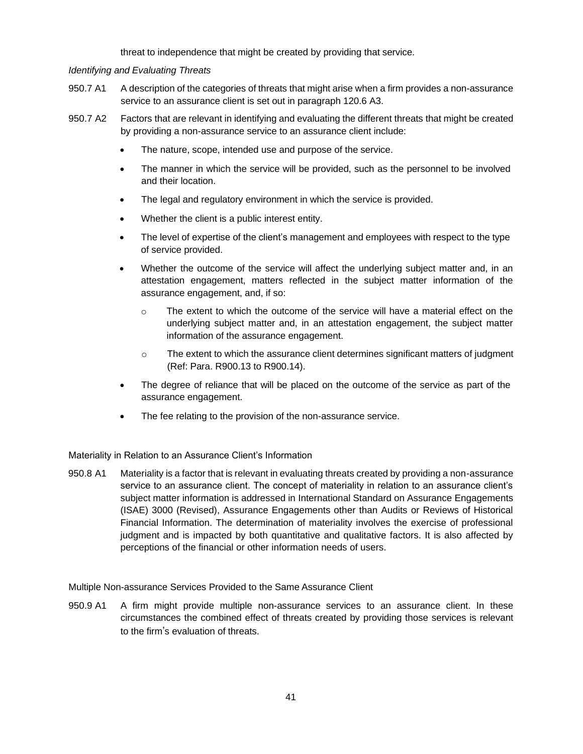threat to independence that might be created by providing that service.

#### *Identifying and Evaluating Threats*

- 950.7 A1 A description of the categories of threats that might arise when a firm provides a non-assurance service to an assurance client is set out in paragraph 120.6 A3.
- 950.7 A2 Factors that are relevant in identifying and evaluating the different threats that might be created by providing a non-assurance service to an assurance client include:
	- The nature, scope, intended use and purpose of the service.
	- The manner in which the service will be provided, such as the personnel to be involved and their location.
	- The legal and regulatory environment in which the service is provided.
	- Whether the client is a public interest entity.
	- The level of expertise of the client's management and employees with respect to the type of service provided.
	- Whether the outcome of the service will affect the underlying subject matter and, in an attestation engagement, matters reflected in the subject matter information of the assurance engagement, and, if so:
		- $\circ$  The extent to which the outcome of the service will have a material effect on the underlying subject matter and, in an attestation engagement, the subject matter information of the assurance engagement.
		- $\circ$  The extent to which the assurance client determines significant matters of judgment (Ref: Para. R900.13 to R900.14).
	- The degree of reliance that will be placed on the outcome of the service as part of the assurance engagement.
	- The fee relating to the provision of the non-assurance service.

Materiality in Relation to an Assurance Client's Information

950.8 A1 Materiality is a factor that is relevant in evaluating threats created by providing a non-assurance service to an assurance client. The concept of materiality in relation to an assurance client's subject matter information is addressed in International Standard on Assurance Engagements (ISAE) 3000 (Revised), Assurance Engagements other than Audits or Reviews of Historical Financial Information. The determination of materiality involves the exercise of professional judgment and is impacted by both quantitative and qualitative factors. It is also affected by perceptions of the financial or other information needs of users.

Multiple Non-assurance Services Provided to the Same Assurance Client

950.9 A1 A firm might provide multiple non-assurance services to an assurance client. In these circumstances the combined effect of threats created by providing those services is relevant to the firm's evaluation of threats.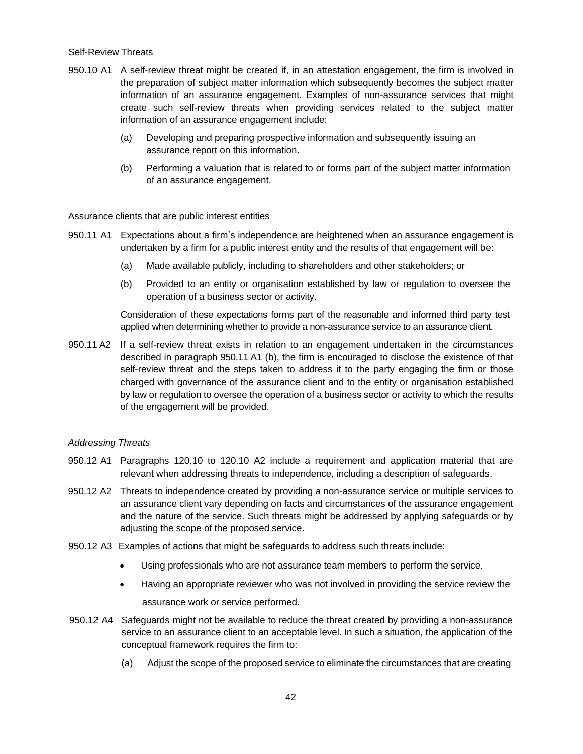#### Self-Review Threats

- 950.10 A1 A self-review threat might be created if, in an attestation engagement, the firm is involved in the preparation of subject matter information which subsequently becomes the subject matter information of an assurance engagement. Examples of non-assurance services that might create such self-review threats when providing services related to the subject matter information of an assurance engagement include:
	- (a) Developing and preparing prospective information and subsequently issuing an assurance report on this information.
	- (b) Performing a valuation that is related to or forms part of the subject matter information of an assurance engagement.

Assurance clients that are public interest entities

- 950.11 A1 Expectations about a firm's independence are heightened when an assurance engagement is undertaken by a firm for a public interest entity and the results of that engagement will be:
	- (a) Made available publicly, including to shareholders and other stakeholders; or
	- (b) Provided to an entity or organisation established by law or regulation to oversee the operation of a business sector or activity.

Consideration of these expectations forms part of the reasonable and informed third party test applied when determining whether to provide a non-assurance service to an assurance client.

950.11A2 If a self-review threat exists in relation to an engagement undertaken in the circumstances described in paragraph 950.11 A1 (b), the firm is encouraged to disclose the existence of that self-review threat and the steps taken to address it to the party engaging the firm or those charged with governance of the assurance client and to the entity or organisation established by law or regulation to oversee the operation of a business sector or activity to which the results of the engagement will be provided.

#### *Addressing Threats*

- 950.12 A1 Paragraphs 120.10 to 120.10 A2 include a requirement and application material that are relevant when addressing threats to independence, including a description of safeguards.
- 950.12 A2 Threats to independence created by providing a non-assurance service or multiple services to an assurance client vary depending on facts and circumstances of the assurance engagement and the nature of the service. Such threats might be addressed by applying safeguards or by adjusting the scope of the proposed service.
- 950.12 A3 Examples of actions that might be safeguards to address such threats include:
	- Using professionals who are not assurance team members to perform the service.
	- Having an appropriate reviewer who was not involved in providing the service review the assurance work or service performed.
- 950.12 A4 Safeguards might not be available to reduce the threat created by providing a non-assurance service to an assurance client to an acceptable level. In such a situation, the application of the conceptual framework requires the firm to:
	- (a) Adjust the scope of the proposed service to eliminate the circumstances that are creating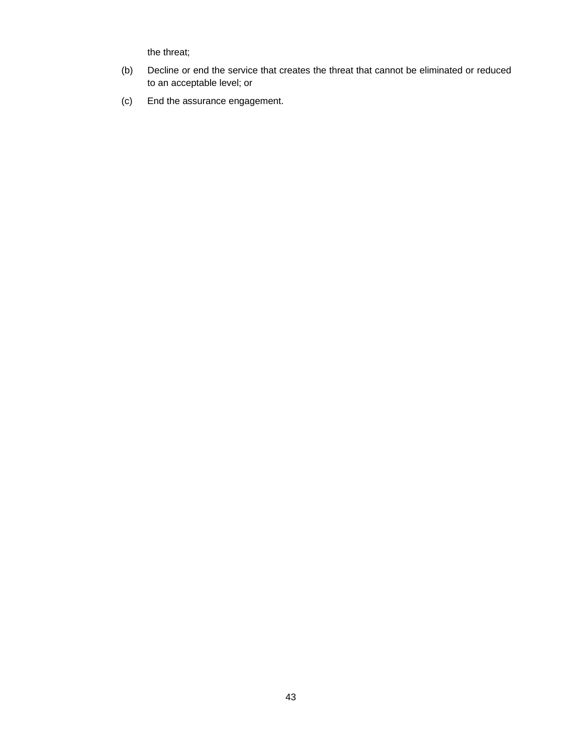the threat;

- (b) Decline or end the service that creates the threat that cannot be eliminated or reduced to an acceptable level; or
- (c) End the assurance engagement.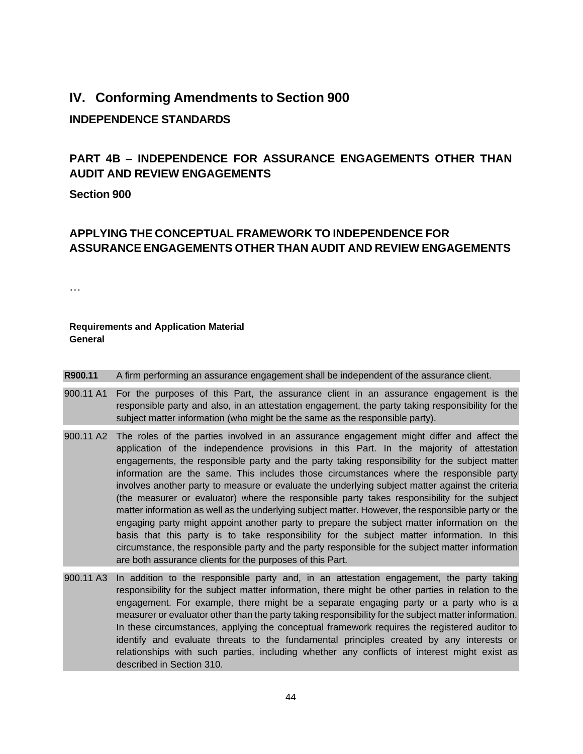## **IV. Conforming Amendments to Section 900**

## **INDEPENDENCE STANDARDS**

## **PART 4B – INDEPENDENCE FOR ASSURANCE ENGAGEMENTS OTHER THAN AUDIT AND REVIEW ENGAGEMENTS**

## <span id="page-43-0"></span>**Section 900**

## **APPLYING THE CONCEPTUAL FRAMEWORK TO INDEPENDENCE FOR ASSURANCE ENGAGEMENTS OTHER THAN AUDIT AND REVIEW ENGAGEMENTS**

…

## **Requirements and Application Material General**

### **R900.11** A firm performing an assurance engagement shall be independent of the assurance client.

- 900.11 A1 For the purposes of this Part, the assurance client in an assurance engagement is the responsible party and also, in an attestation engagement, the party taking responsibility for the subject matter information (who might be the same as the responsible party).
- 900.11 A2 The roles of the parties involved in an assurance engagement might differ and affect the application of the independence provisions in this Part. In the majority of attestation engagements, the responsible party and the party taking responsibility for the subject matter information are the same. This includes those circumstances where the responsible party involves another party to measure or evaluate the underlying subject matter against the criteria (the measurer or evaluator) where the responsible party takes responsibility for the subject matter information as well as the underlying subject matter. However, the responsible party or the engaging party might appoint another party to prepare the subject matter information on the basis that this party is to take responsibility for the subject matter information. In this circumstance, the responsible party and the party responsible for the subject matter information are both assurance clients for the purposes of this Part.
- 900.11 A3 In addition to the responsible party and, in an attestation engagement, the party taking responsibility for the subject matter information, there might be other parties in relation to the engagement. For example, there might be a separate engaging party or a party who is a measurer or evaluator other than the party taking responsibility for the subject matter information. In these circumstances, applying the conceptual framework requires the registered auditor to identify and evaluate threats to the fundamental principles created by any interests or relationships with such parties, including whether any conflicts of interest might exist as described in Section 310.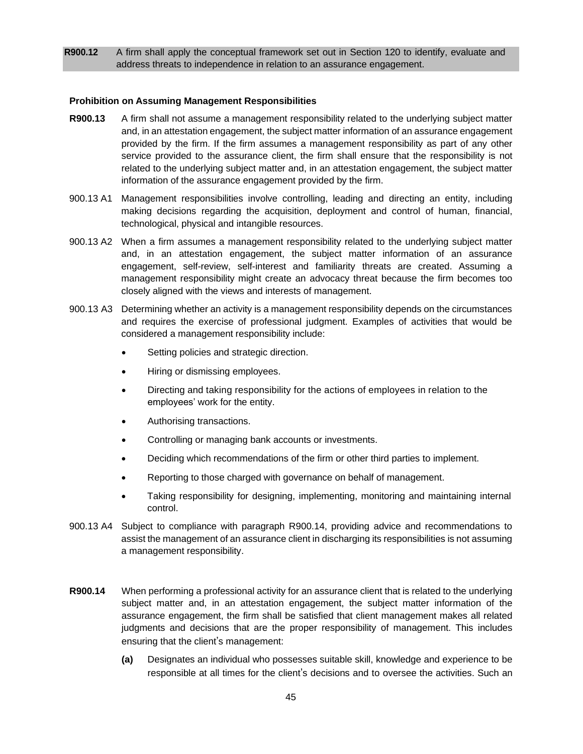**R900.12** A firm shall apply the conceptual framework set out in Section 120 to identify, evaluate and address threats to independence in relation to an assurance engagement.

#### **Prohibition on Assuming Management Responsibilities**

- **R900.13** A firm shall not assume a management responsibility related to the underlying subject matter and, in an attestation engagement, the subject matter information of an assurance engagement provided by the firm. If the firm assumes a management responsibility as part of any other service provided to the assurance client, the firm shall ensure that the responsibility is not related to the underlying subject matter and, in an attestation engagement, the subject matter information of the assurance engagement provided by the firm.
- 900.13 A1 Management responsibilities involve controlling, leading and directing an entity, including making decisions regarding the acquisition, deployment and control of human, financial, technological, physical and intangible resources.
- 900.13 A2 When a firm assumes a management responsibility related to the underlying subject matter and, in an attestation engagement, the subject matter information of an assurance engagement, self-review, self-interest and familiarity threats are created. Assuming a management responsibility might create an advocacy threat because the firm becomes too closely aligned with the views and interests of management.
- 900.13 A3 Determining whether an activity is a management responsibility depends on the circumstances and requires the exercise of professional judgment. Examples of activities that would be considered a management responsibility include:
	- Setting policies and strategic direction.
	- Hiring or dismissing employees.
	- Directing and taking responsibility for the actions of employees in relation to the employees' work for the entity.
	- Authorising transactions.
	- Controlling or managing bank accounts or investments.
	- Deciding which recommendations of the firm or other third parties to implement.
	- Reporting to those charged with governance on behalf of management.
	- Taking responsibility for designing, implementing, monitoring and maintaining internal control.
- 900.13 A4 Subject to compliance with paragraph R900.14, providing advice and recommendations to assist the management of an assurance client in discharging its responsibilities is not assuming a management responsibility.
- **R900.14** When performing a professional activity for an assurance client that is related to the underlying subject matter and, in an attestation engagement, the subject matter information of the assurance engagement, the firm shall be satisfied that client management makes all related judgments and decisions that are the proper responsibility of management. This includes ensuring that the client's management:
	- **(a)** Designates an individual who possesses suitable skill, knowledge and experience to be responsible at all times for the client's decisions and to oversee the activities. Such an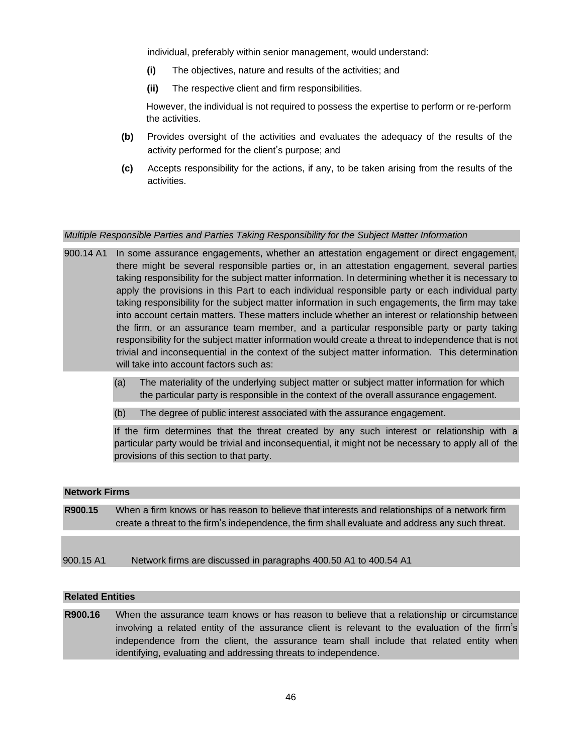individual, preferably within senior management, would understand:

- **(i)** The objectives, nature and results of the activities; and
- **(ii)** The respective client and firm responsibilities.

However, the individual is not required to possess the expertise to perform or re-perform the activities.

- **(b)** Provides oversight of the activities and evaluates the adequacy of the results of the activity performed for the client's purpose; and
- **(c)** Accepts responsibility for the actions, if any, to be taken arising from the results of the activities.

#### *Multiple Responsible Parties and Parties Taking Responsibility for the Subject Matter Information*

- 900.14 A1 In some assurance engagements, whether an attestation engagement or direct engagement, there might be several responsible parties or, in an attestation engagement, several parties taking responsibility for the subject matter information. In determining whether it is necessary to apply the provisions in this Part to each individual responsible party or each individual party taking responsibility for the subject matter information in such engagements, the firm may take into account certain matters. These matters include whether an interest or relationship between the firm, or an assurance team member, and a particular responsible party or party taking responsibility for the subject matter information would create a threat to independence that is not trivial and inconsequential in the context of the subject matter information. This determination will take into account factors such as:
	- (a) The materiality of the underlying subject matter or subject matter information for which the particular party is responsible in the context of the overall assurance engagement.
	- (b) The degree of public interest associated with the assurance engagement.

If the firm determines that the threat created by any such interest or relationship with a particular party would be trivial and inconsequential, it might not be necessary to apply all of the provisions of this section to that party.

#### **Network Firms**

- **R900.15** When a firm knows or has reason to believe that interests and relationships of a network firm create a threat to the firm's independence, the firm shall evaluate and address any such threat.
- 900.15 A1 Network firms are discussed in paragraphs 400.50 A1 to 400.54 A1

#### **Related Entities**

**R900.16** When the assurance team knows or has reason to believe that a relationship or circumstance involving a related entity of the assurance client is relevant to the evaluation of the firm's independence from the client, the assurance team shall include that related entity when identifying, evaluating and addressing threats to independence.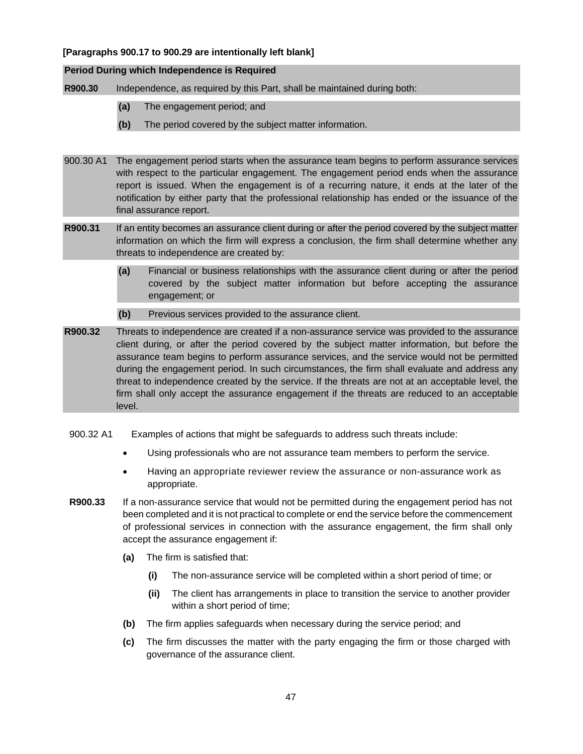### **[Paragraphs 900.17 to 900.29 are intentionally left blank]**

#### **Period During which Independence is Required**

**R900.30** Independence, as required by this Part, shall be maintained during both:

- **(a)** The engagement period; and
- **(b)** The period covered by the subject matter information.
- 900.30 A1 The engagement period starts when the assurance team begins to perform assurance services with respect to the particular engagement. The engagement period ends when the assurance report is issued. When the engagement is of a recurring nature, it ends at the later of the notification by either party that the professional relationship has ended or the issuance of the final assurance report.
- **R900.31** If an entity becomes an assurance client during or after the period covered by the subject matter information on which the firm will express a conclusion, the firm shall determine whether any threats to independence are created by:
	- **(a)** Financial or business relationships with the assurance client during or after the period covered by the subject matter information but before accepting the assurance engagement; or
	- **(b)** Previous services provided to the assurance client.
- **R900.32** Threats to independence are created if a non-assurance service was provided to the assurance client during, or after the period covered by the subject matter information, but before the assurance team begins to perform assurance services, and the service would not be permitted during the engagement period. In such circumstances, the firm shall evaluate and address any threat to independence created by the service. If the threats are not at an acceptable level, the firm shall only accept the assurance engagement if the threats are reduced to an acceptable level.
- 900.32 A1 Examples of actions that might be safeguards to address such threats include:
	- Using professionals who are not assurance team members to perform the service.
	- Having an appropriate reviewer review the assurance or non-assurance work as appropriate.
- **R900.33** If a non-assurance service that would not be permitted during the engagement period has not been completed and it is not practical to complete or end the service before the commencement of professional services in connection with the assurance engagement, the firm shall only accept the assurance engagement if:
	- **(a)** The firm is satisfied that:
		- **(i)** The non-assurance service will be completed within a short period of time; or
		- **(ii)** The client has arrangements in place to transition the service to another provider within a short period of time;
	- **(b)** The firm applies safeguards when necessary during the service period; and
	- **(c)** The firm discusses the matter with the party engaging the firm or those charged with governance of the assurance client.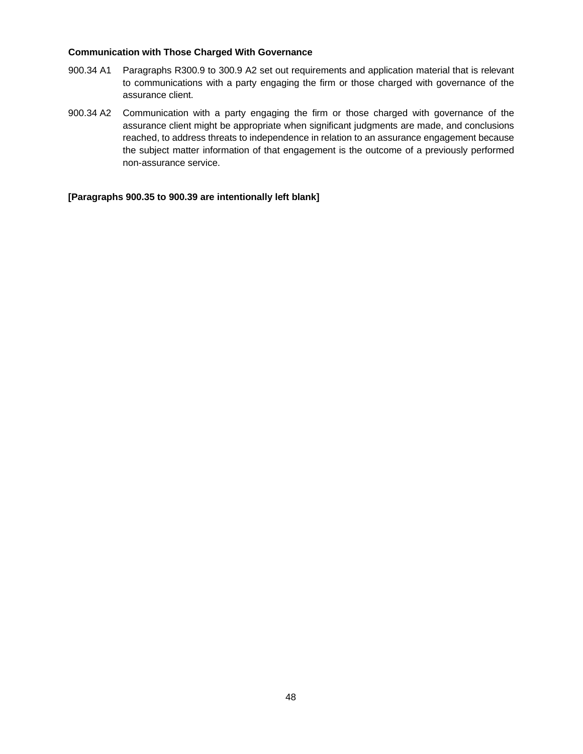#### **Communication with Those Charged With Governance**

- 900.34 A1 Paragraphs R300.9 to 300.9 A2 set out requirements and application material that is relevant to communications with a party engaging the firm or those charged with governance of the assurance client.
- 900.34 A2 Communication with a party engaging the firm or those charged with governance of the assurance client might be appropriate when significant judgments are made, and conclusions reached, to address threats to independence in relation to an assurance engagement because the subject matter information of that engagement is the outcome of a previously performed non-assurance service.

**[Paragraphs 900.35 to 900.39 are intentionally left blank]**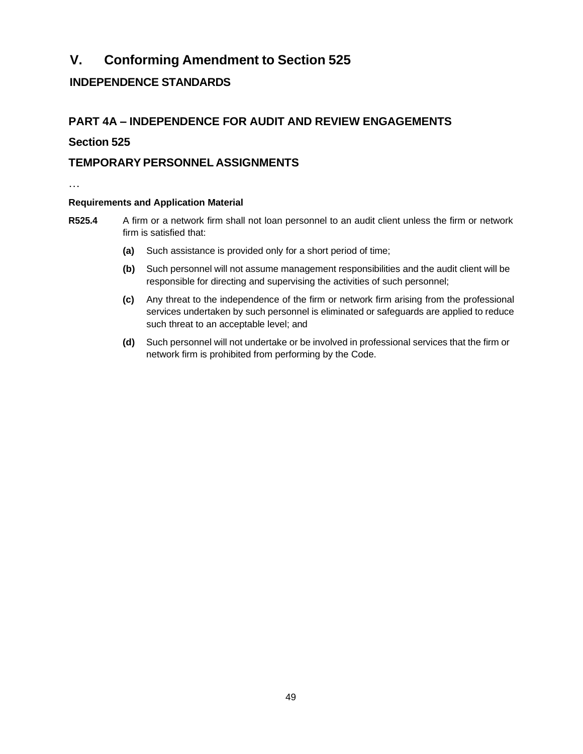# **V. Conforming Amendment to Section 525**

## **INDEPENDENCE STANDARDS**

## **PART 4A – INDEPENDENCE FOR AUDIT AND REVIEW ENGAGEMENTS**

## <span id="page-48-0"></span>**Section 525**

## **TEMPORARYPERSONNEL ASSIGNMENTS**

…

## **Requirements and Application Material**

- **R525.4** A firm or a network firm shall not loan personnel to an audit client unless the firm or network firm is satisfied that:
	- **(a)** Such assistance is provided only for a short period of time;
	- **(b)** Such personnel will not assume management responsibilities and the audit client will be responsible for directing and supervising the activities of such personnel;
	- **(c)** Any threat to the independence of the firm or network firm arising from the professional services undertaken by such personnel is eliminated or safeguards are applied to reduce such threat to an acceptable level; and
	- **(d)** Such personnel will not undertake or be involved in professional services that the firm or network firm is prohibited from performing by the Code.